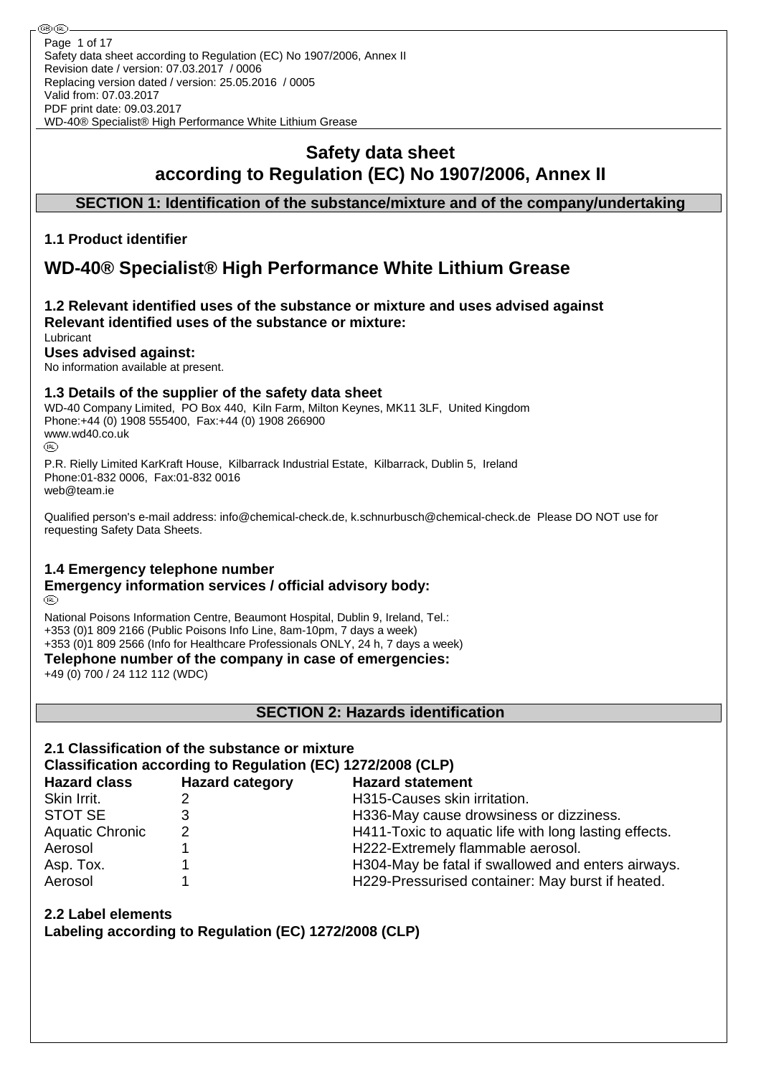## **Safety data sheet according to Regulation (EC) No 1907/2006, Annex II**

### **SECTION 1: Identification of the substance/mixture and of the company/undertaking**

### **1.1 Product identifier**

# **WD-40® Specialist® High Performance White Lithium Grease**

#### **1.2 Relevant identified uses of the substance or mixture and uses advised against Relevant identified uses of the substance or mixture:** Lubricant

### **Uses advised against:**

No information available at present.

#### **1.3 Details of the supplier of the safety data sheet**

WD-40 Company Limited, PO Box 440, Kiln Farm, Milton Keynes, MK11 3LF, United Kingdom Phone:+44 (0) 1908 555400, Fax:+44 (0) 1908 266900 www.wd40.co.uk (RD)

P.R. Rielly Limited KarKraft House, Kilbarrack Industrial Estate, Kilbarrack, Dublin 5, Ireland Phone:01-832 0006, Fax:01-832 0016 web@team.ie

Qualified person's e-mail address: info@chemical-check.de, k.schnurbusch@chemical-check.de Please DO NOT use for requesting Safety Data Sheets.

### **1.4 Emergency telephone number**

#### **Emergency information services / official advisory body:** (RD)

National Poisons Information Centre, Beaumont Hospital, Dublin 9, Ireland, Tel.: +353 (0)1 809 2166 (Public Poisons Info Line, 8am-10pm, 7 days a week) +353 (0)1 809 2566 (Info for Healthcare Professionals ONLY, 24 h, 7 days a week)

**Telephone number of the company in case of emergencies:**

+49 (0) 700 / 24 112 112 (WDC)

**SECTION 2: Hazards identification**

# **2.1 Classification of the substance or mixture**

### **Classification according to Regulation (EC) 1272/2008 (CLP)**

| <b>Hazard class</b>    | <b>Hazard category</b> | <b>Hazard statement</b>                               |
|------------------------|------------------------|-------------------------------------------------------|
| Skin Irrit.            |                        | H315-Causes skin irritation.                          |
| <b>STOT SE</b>         |                        | H336-May cause drowsiness or dizziness.               |
| <b>Aquatic Chronic</b> | 2                      | H411-Toxic to aquatic life with long lasting effects. |
| Aerosol                |                        | H222-Extremely flammable aerosol.                     |
| Asp. Tox.              |                        | H304-May be fatal if swallowed and enters airways.    |
| Aerosol                |                        | H229-Pressurised container: May burst if heated.      |

## **2.2 Label elements**

**Labeling according to Regulation (EC) 1272/2008 (CLP)**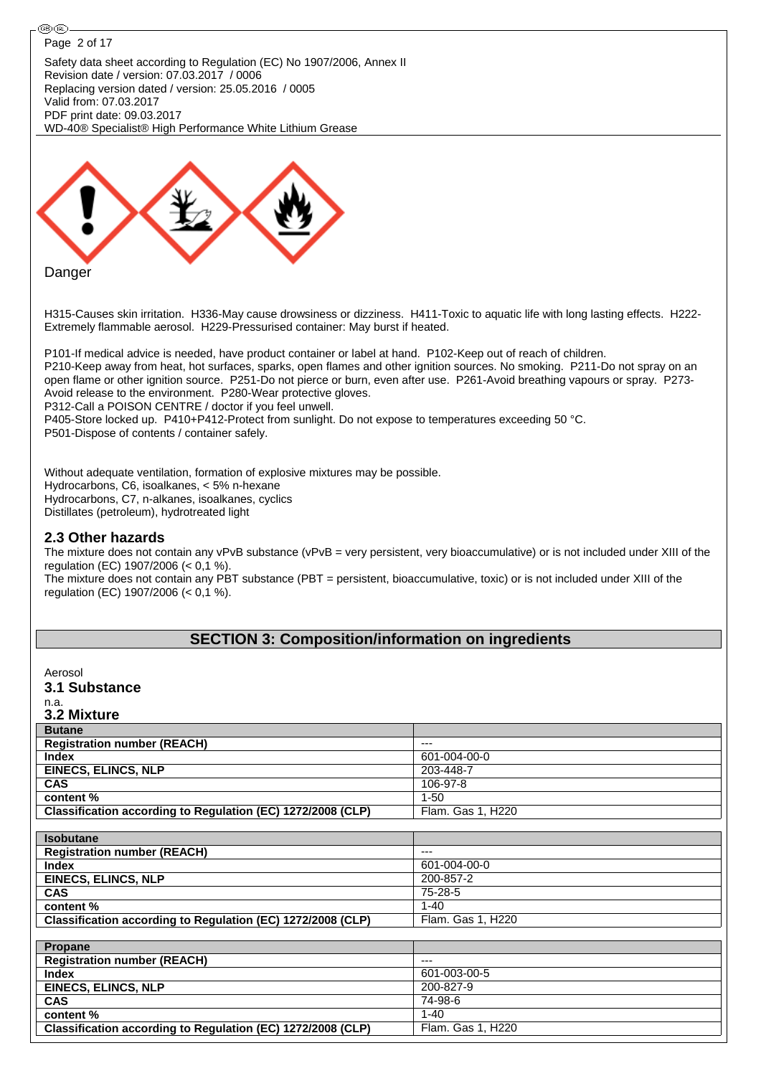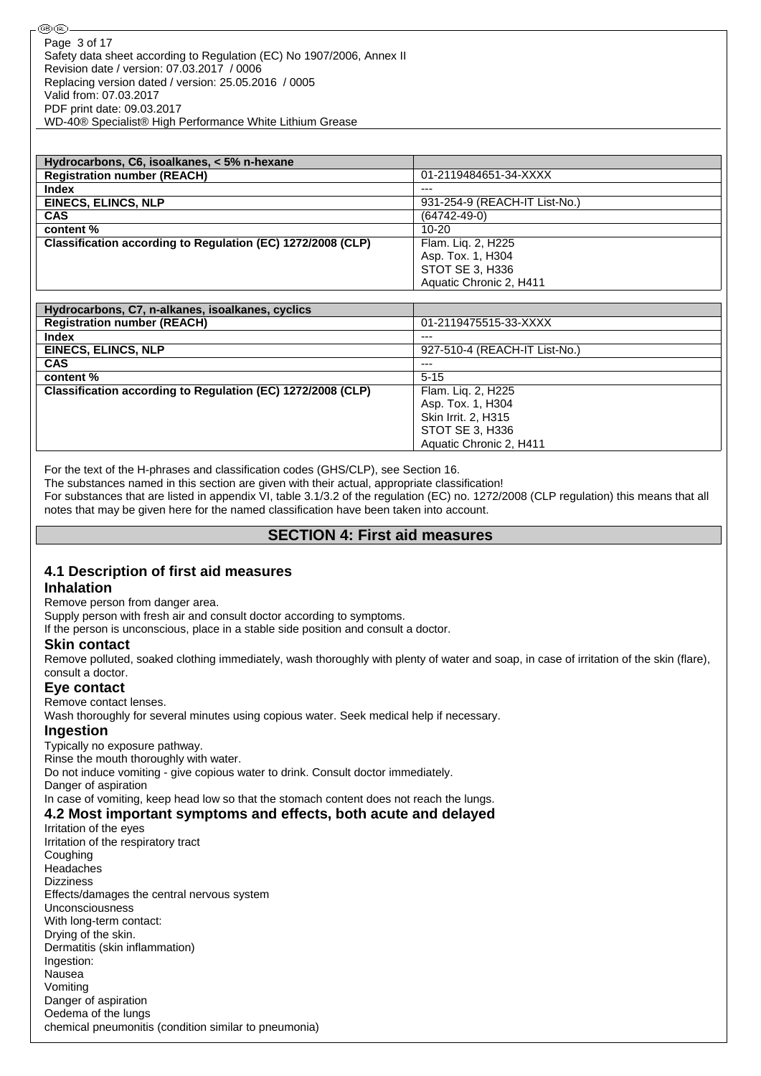| Hydrocarbons, C6, isoalkanes, < 5% n-hexane                 |                               |
|-------------------------------------------------------------|-------------------------------|
| <b>Registration number (REACH)</b>                          | 01-2119484651-34-XXXX         |
| <b>Index</b>                                                | $--$                          |
| <b>EINECS, ELINCS, NLP</b>                                  | 931-254-9 (REACH-IT List-No.) |
| <b>CAS</b>                                                  | $(64742 - 49 - 0)$            |
| content %                                                   | $10 - 20$                     |
| Classification according to Regulation (EC) 1272/2008 (CLP) | Flam. Lig. 2, H225            |
|                                                             | Asp. Tox. 1, H304             |
|                                                             | STOT SE 3, H336               |
|                                                             | Aquatic Chronic 2, H411       |

| Hydrocarbons, C7, n-alkanes, isoalkanes, cyclics            |                               |
|-------------------------------------------------------------|-------------------------------|
| <b>Registration number (REACH)</b>                          | 01-2119475515-33-XXXX         |
| <b>Index</b>                                                | $---$                         |
| <b>EINECS, ELINCS, NLP</b>                                  | 927-510-4 (REACH-IT List-No.) |
| <b>CAS</b>                                                  | $---$                         |
| content %                                                   | $5 - 15$                      |
| Classification according to Regulation (EC) 1272/2008 (CLP) | Flam. Liq. 2, H225            |
|                                                             | Asp. Tox. 1, H304             |
|                                                             | Skin Irrit. 2, H315           |
|                                                             | STOT SE 3, H336               |
|                                                             | Aquatic Chronic 2, H411       |

For the text of the H-phrases and classification codes (GHS/CLP), see Section 16.

The substances named in this section are given with their actual, appropriate classification!

For substances that are listed in appendix VI, table 3.1/3.2 of the regulation (EC) no. 1272/2008 (CLP regulation) this means that all notes that may be given here for the named classification have been taken into account.

#### **SECTION 4: First aid measures**

#### **4.1 Description of first aid measures**

#### **Inhalation**

Remove person from danger area.

Supply person with fresh air and consult doctor according to symptoms.

If the person is unconscious, place in a stable side position and consult a doctor.

#### **Skin contact**

Remove polluted, soaked clothing immediately, wash thoroughly with plenty of water and soap, in case of irritation of the skin (flare), consult a doctor.

#### **Eye contact**

Remove contact lenses.

Wash thoroughly for several minutes using copious water. Seek medical help if necessary.

#### **Ingestion**

Typically no exposure pathway.

Rinse the mouth thoroughly with water.

Do not induce vomiting - give copious water to drink. Consult doctor immediately.

Danger of aspiration

In case of vomiting, keep head low so that the stomach content does not reach the lungs.

#### **4.2 Most important symptoms and effects, both acute and delayed**

Irritation of the eyes Irritation of the respiratory tract Coughing Headaches Dizziness Effects/damages the central nervous system Unconsciousness With long-term contact: Drying of the skin. Dermatitis (skin inflammation) Ingestion: Nausea Vomiting Danger of aspiration Oedema of the lungs chemical pneumonitis (condition similar to pneumonia)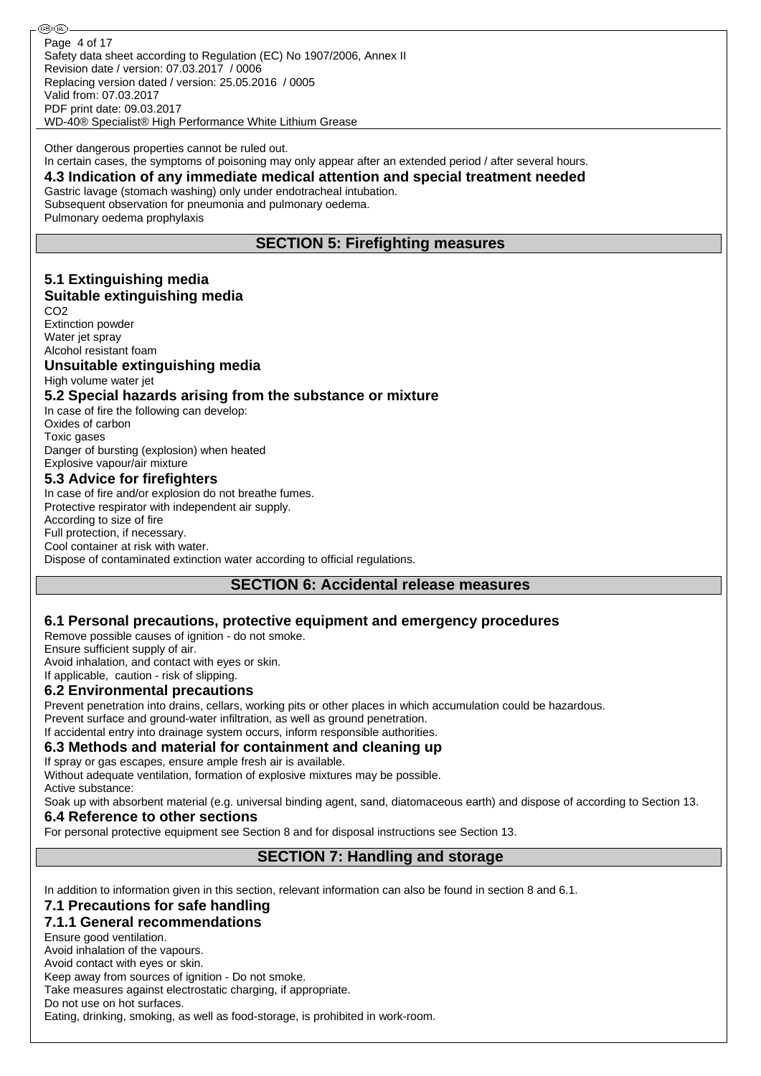Safety data sheet according to Regulation (EC) No 1907/2006, Annex II Revision date / version: 07.03.2017 / 0006 Replacing version dated / version: 25.05.2016 / 0005 Valid from: 07.03.2017 PDF print date: 09.03.2017 WD-40® Specialist® High Performance White Lithium Grease Page 4 of 17

Other dangerous properties cannot be ruled out. In certain cases, the symptoms of poisoning may only appear after an extended period / after several hours.

#### **4.3 Indication of any immediate medical attention and special treatment needed**

Gastric lavage (stomach washing) only under endotracheal intubation. Subsequent observation for pneumonia and pulmonary oedema.

Pulmonary oedema prophylaxis

### **SECTION 5: Firefighting measures**

#### **5.1 Extinguishing media Suitable extinguishing media**

C<sub>O2</sub>

Extinction powder Water jet spray Alcohol resistant foam

#### **Unsuitable extinguishing media** High volume water jet

#### **5.2 Special hazards arising from the substance or mixture**

In case of fire the following can develop: Oxides of carbon Toxic gases Danger of bursting (explosion) when heated

#### Explosive vapour/air mixture **5.3 Advice for firefighters**

In case of fire and/or explosion do not breathe fumes. Protective respirator with independent air supply. According to size of fire Full protection, if necessary. Cool container at risk with water. Dispose of contaminated extinction water according to official regulations.

### **SECTION 6: Accidental release measures**

### **6.1 Personal precautions, protective equipment and emergency procedures**

Remove possible causes of ignition - do not smoke.

Ensure sufficient supply of air.

Avoid inhalation, and contact with eyes or skin. If applicable, caution - risk of slipping.

### **6.2 Environmental precautions**

Prevent penetration into drains, cellars, working pits or other places in which accumulation could be hazardous.

Prevent surface and ground-water infiltration, as well as ground penetration.

If accidental entry into drainage system occurs, inform responsible authorities.

### **6.3 Methods and material for containment and cleaning up**

If spray or gas escapes, ensure ample fresh air is available.

Without adequate ventilation, formation of explosive mixtures may be possible. Active substance:

Soak up with absorbent material (e.g. universal binding agent, sand, diatomaceous earth) and dispose of according to Section 13.

### **6.4 Reference to other sections**

For personal protective equipment see Section 8 and for disposal instructions see Section 13.

### **SECTION 7: Handling and storage**

In addition to information given in this section, relevant information can also be found in section 8 and 6.1.

### **7.1 Precautions for safe handling**

### **7.1.1 General recommendations**

Ensure good ventilation.

Avoid inhalation of the vapours.

Avoid contact with eyes or skin.

Keep away from sources of ignition - Do not smoke.

Take measures against electrostatic charging, if appropriate.

Do not use on hot surfaces.

Eating, drinking, smoking, as well as food-storage, is prohibited in work-room.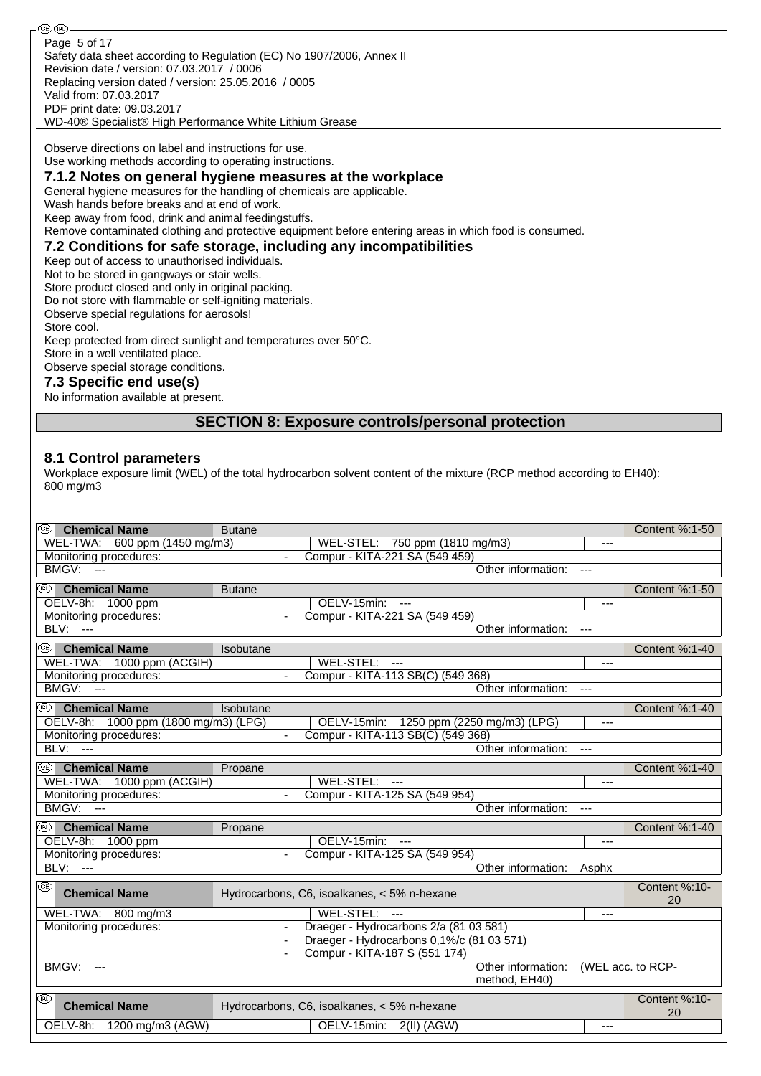௵ Page 5 of 17Safety data sheet according to Regulation (EC) No 1907/2006, Annex II Revision date / version: 07.03.2017 / 0006 Replacing version dated / version: 25.05.2016 / 0005 Valid from: 07.03.2017 PDF print date: 09.03.2017 WD-40® Specialist® High Performance White Lithium Grease Observe directions on label and instructions for use. Use working methods according to operating instructions. **7.1.2 Notes on general hygiene measures at the workplace** General hygiene measures for the handling of chemicals are applicable. Wash hands before breaks and at end of work. Keep away from food, drink and animal feedingstuffs. Remove contaminated clothing and protective equipment before entering areas in which food is consumed. **7.2 Conditions for safe storage, including any incompatibilities** Keep out of access to unauthorised individuals. Not to be stored in gangways or stair wells. Store product closed and only in original packing. Do not store with flammable or self-igniting materials. Observe special regulations for aerosols! Store cool. Keep protected from direct sunlight and temperatures over 50°C. Store in a well ventilated place. Observe special storage conditions.

#### **7.3 Specific end use(s)**

No information available at present.

#### **SECTION 8: Exposure controls/personal protection**

#### **8.1 Control parameters**

Workplace exposure limit (WEL) of the total hydrocarbon solvent content of the mixture (RCP method according to EH40): 800 mg/m3

| ை<br><b>Chemical Name</b>                          | <b>Butane</b>                                            |                                     |                   | Content %:1-50 |
|----------------------------------------------------|----------------------------------------------------------|-------------------------------------|-------------------|----------------|
| 600 ppm (1450 mg/m3)<br>WEL-TWA:                   | WEL-STEL: 750 ppm (1810 mg/m3)                           |                                     | $---$             |                |
| Monitoring procedures:                             | Compur - KITA-221 SA (549 459)<br>$\blacksquare$         |                                     |                   |                |
| BMGV:<br>$\sim$                                    |                                                          | Other information:                  | $---$             |                |
| ⊛<br><b>Chemical Name</b>                          | <b>Butane</b>                                            |                                     |                   | Content %:1-50 |
| OELV-8h:<br>1000 ppm                               | OELV-15min:<br>$---$                                     |                                     | ---               |                |
| Monitoring procedures:                             | Compur - KITA-221 SA (549 459)                           |                                     |                   |                |
| BLV:<br>$\sim$                                     |                                                          | Other information:                  |                   |                |
| ⊛<br><b>Chemical Name</b>                          | Isobutane                                                |                                     |                   | Content %:1-40 |
| WEL-TWA: 1000 ppm (ACGIH)                          | WEL-STEL:<br>$\overline{a}$                              |                                     | ---               |                |
| Monitoring procedures:                             | Compur - KITA-113 SB(C) (549 368)<br>$\mathbf{r}$        |                                     |                   |                |
| <b>BMGV: ---</b>                                   |                                                          | Other information:                  | $\overline{a}$    |                |
| (IRL) -<br><b>Chemical Name</b>                    | Isobutane                                                |                                     |                   | Content %:1-40 |
| OELV-8h: 1000 ppm (1800 mg/m3) (LPG)               | OELV-15min: 1250 ppm (2250 mg/m3) (LPG)                  |                                     | $---$             |                |
| Monitoring procedures:                             | Compur - KITA-113 SB(C) (549 368)                        |                                     |                   |                |
| BLV:<br>$\sim$                                     |                                                          | Other information:                  | $---$             |                |
| ⊛<br><b>Chemical Name</b>                          | Propane                                                  |                                     |                   | Content %:1-40 |
| WEL-TWA: 1000 ppm (ACGIH)                          | WEL-STEL:<br>$\sim$                                      |                                     | ---               |                |
| Monitoring procedures:                             | Compur - KITA-125 SA (549 954)<br>$\mathbf{r}$           |                                     |                   |                |
| BMGV:<br>$\overline{\phantom{a}}$                  |                                                          | Other information:                  | $\cdots$          |                |
| <b>Chemical Name</b><br>(W)                        | Propane                                                  |                                     |                   | Content %:1-40 |
| OELV-8h: 1000 ppm                                  | OELV-15min:<br>$\overline{a}$                            |                                     | ---               |                |
| Monitoring procedures:                             | Compur - KITA-125 SA (549 954)                           |                                     |                   |                |
| BLV:<br>$---$                                      |                                                          | Other information:                  | Asphx             |                |
| ⊛<br><b>Chemical Name</b>                          |                                                          |                                     |                   | Content %:10-  |
|                                                    | Hydrocarbons, C6, isoalkanes, < 5% n-hexane              |                                     |                   | 20             |
| WEL-TWA: 800 mg/m3                                 | WEL-STEL: ---                                            |                                     | ---               |                |
| Monitoring procedures:                             | Draeger - Hydrocarbons 2/a (81 03 581)<br>$\blacksquare$ |                                     |                   |                |
|                                                    | Draeger - Hydrocarbons 0,1%/c (81 03 571)                |                                     |                   |                |
|                                                    | Compur - KITA-187 S (551 174)<br>$\blacksquare$          |                                     |                   |                |
| BMGV:<br>$---$                                     |                                                          | Other information:<br>method, EH40) | (WEL acc. to RCP- |                |
| $(\overline{\mathsf{RL}})$<br><b>Chemical Name</b> | Hydrocarbons, C6, isoalkanes, < 5% n-hexane              |                                     |                   | Content %:10-  |
|                                                    |                                                          |                                     |                   | 20             |
| OELV-8h:<br>1200 mg/m3 (AGW)                       | OELV-15min:<br>$2(II)$ (AGW)                             |                                     | ---               |                |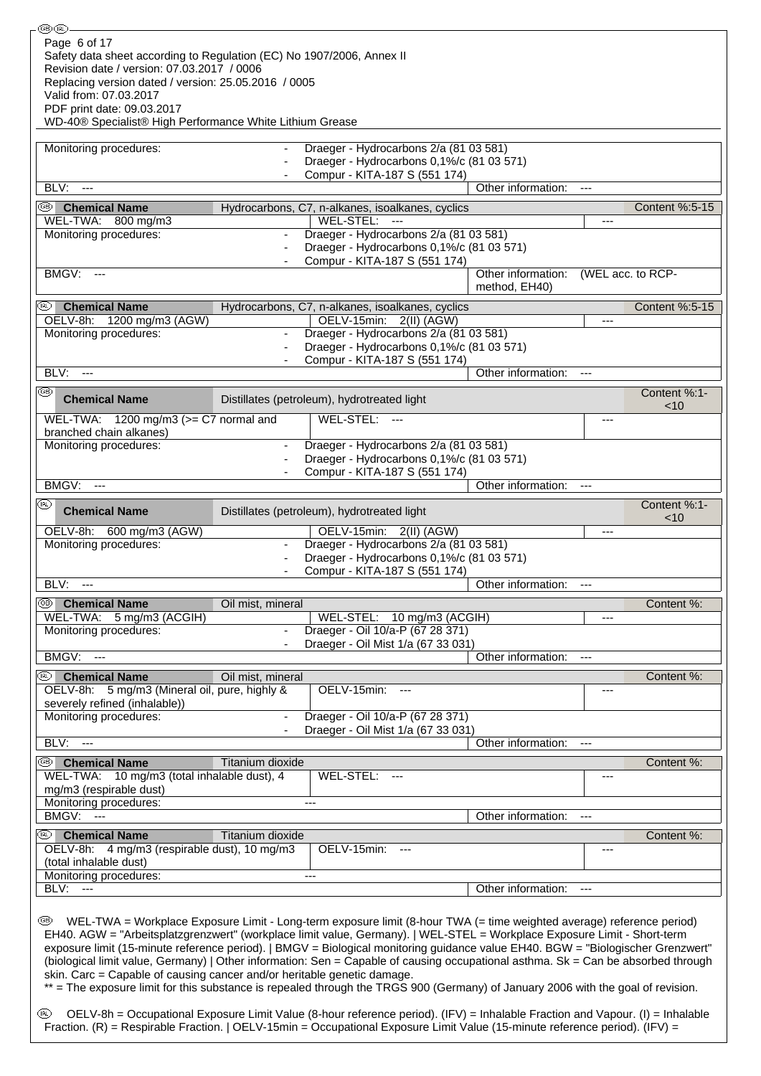| ®®                                                                                                                                |                          |                                                                                                                       |                                                                                                                                  |                      |                   |
|-----------------------------------------------------------------------------------------------------------------------------------|--------------------------|-----------------------------------------------------------------------------------------------------------------------|----------------------------------------------------------------------------------------------------------------------------------|----------------------|-------------------|
| Page 6 of 17                                                                                                                      |                          |                                                                                                                       |                                                                                                                                  |                      |                   |
| Safety data sheet according to Regulation (EC) No 1907/2006, Annex II                                                             |                          |                                                                                                                       |                                                                                                                                  |                      |                   |
| Revision date / version: 07.03.2017 / 0006                                                                                        |                          |                                                                                                                       |                                                                                                                                  |                      |                   |
| Replacing version dated / version: 25.05.2016 / 0005                                                                              |                          |                                                                                                                       |                                                                                                                                  |                      |                   |
| Valid from: 07.03.2017                                                                                                            |                          |                                                                                                                       |                                                                                                                                  |                      |                   |
| PDF print date: 09.03.2017                                                                                                        |                          |                                                                                                                       |                                                                                                                                  |                      |                   |
| WD-40® Specialist® High Performance White Lithium Grease                                                                          |                          |                                                                                                                       |                                                                                                                                  |                      |                   |
|                                                                                                                                   |                          |                                                                                                                       |                                                                                                                                  |                      |                   |
| Monitoring procedures:                                                                                                            |                          | Draeger - Hydrocarbons 2/a (81 03 581)                                                                                |                                                                                                                                  |                      |                   |
|                                                                                                                                   |                          | Draeger - Hydrocarbons 0,1%/c (81 03 571)                                                                             |                                                                                                                                  |                      |                   |
|                                                                                                                                   |                          | Compur - KITA-187 S (551 174)                                                                                         |                                                                                                                                  |                      |                   |
| BLV:<br>$\sim$ $\sim$                                                                                                             |                          |                                                                                                                       | Other information:                                                                                                               | $\cdots$             |                   |
|                                                                                                                                   |                          |                                                                                                                       |                                                                                                                                  |                      |                   |
| )<br><b>Chemical Name</b>                                                                                                         |                          | Hydrocarbons, C7, n-alkanes, isoalkanes, cyclics                                                                      |                                                                                                                                  |                      | Content %:5-15    |
| WEL-TWA: 800 mg/m3                                                                                                                |                          | WEL-STEL: ---                                                                                                         |                                                                                                                                  | ---                  |                   |
| Monitoring procedures:                                                                                                            |                          | Draeger - Hydrocarbons 2/a (81 03 581)                                                                                |                                                                                                                                  |                      |                   |
|                                                                                                                                   |                          | Draeger - Hydrocarbons 0,1%/c (81 03 571)                                                                             |                                                                                                                                  |                      |                   |
|                                                                                                                                   |                          | Compur - KITA-187 S (551 174)                                                                                         |                                                                                                                                  |                      |                   |
| BMGV:<br>$\hspace{0.05cm} \ldots$                                                                                                 |                          |                                                                                                                       | Other information:                                                                                                               |                      | (WEL acc. to RCP- |
|                                                                                                                                   |                          |                                                                                                                       | method, EH40)                                                                                                                    |                      |                   |
| <b>Chemical Name</b><br>(BL).                                                                                                     |                          | Hydrocarbons, C7, n-alkanes, isoalkanes, cyclics                                                                      |                                                                                                                                  |                      | Content %:5-15    |
| OELV-8h: 1200 mg/m3 (AGW)                                                                                                         |                          | OELV-15min: 2(II) (AGW)                                                                                               |                                                                                                                                  | ---                  |                   |
| Monitoring procedures:                                                                                                            |                          | Draeger - Hydrocarbons 2/a (81 03 581)                                                                                |                                                                                                                                  |                      |                   |
|                                                                                                                                   |                          | Draeger - Hydrocarbons 0,1%/c (81 03 571)                                                                             |                                                                                                                                  |                      |                   |
|                                                                                                                                   |                          |                                                                                                                       |                                                                                                                                  |                      |                   |
| BLV:<br>$\overline{a}$                                                                                                            |                          | Compur - KITA-187 S (551 174)                                                                                         | Other information:                                                                                                               | $---$                |                   |
|                                                                                                                                   |                          |                                                                                                                       |                                                                                                                                  |                      |                   |
| ⊛<br><b>Chemical Name</b>                                                                                                         |                          | Distillates (petroleum), hydrotreated light                                                                           |                                                                                                                                  |                      | Content %:1-      |
|                                                                                                                                   |                          |                                                                                                                       |                                                                                                                                  |                      | ~10               |
| WEL-TWA: $1200 \text{ mg/m}$ 3 ( $>=$ C7 normal and                                                                               |                          | WEL-STEL:                                                                                                             |                                                                                                                                  | ---                  |                   |
| branched chain alkanes)                                                                                                           |                          |                                                                                                                       |                                                                                                                                  |                      |                   |
| Monitoring procedures:                                                                                                            | $\overline{\phantom{a}}$ | Draeger - Hydrocarbons 2/a (81 03 581)                                                                                |                                                                                                                                  |                      |                   |
|                                                                                                                                   |                          | Draeger - Hydrocarbons 0,1%/c (81 03 571)                                                                             |                                                                                                                                  |                      |                   |
|                                                                                                                                   |                          | Compur - KITA-187 S (551 174)                                                                                         |                                                                                                                                  |                      |                   |
| BMGV:<br>$\hspace{0.05cm} \ldots$                                                                                                 |                          |                                                                                                                       | Other information:                                                                                                               | $\scriptstyle\cdots$ |                   |
| (R)                                                                                                                               |                          |                                                                                                                       |                                                                                                                                  |                      | Content %:1-      |
| <b>Chemical Name</b>                                                                                                              |                          | Distillates (petroleum), hydrotreated light                                                                           |                                                                                                                                  |                      | ~10               |
| OELV-8h:<br>600 mg/m3 (AGW)                                                                                                       |                          | OELV-15min: 2(II) (AGW)                                                                                               |                                                                                                                                  | ---                  |                   |
| Monitoring procedures:                                                                                                            | $\overline{\phantom{a}}$ | Draeger - Hydrocarbons 2/a (81 03 581)                                                                                |                                                                                                                                  |                      |                   |
|                                                                                                                                   |                          | Draeger - Hydrocarbons 0,1%/c (81 03 571)                                                                             |                                                                                                                                  |                      |                   |
|                                                                                                                                   |                          |                                                                                                                       |                                                                                                                                  |                      |                   |
| BLV:<br>$\sim$ $\sim$                                                                                                             |                          | Compur - KITA-187 S (551 174)                                                                                         | Other information:                                                                                                               |                      |                   |
|                                                                                                                                   |                          |                                                                                                                       |                                                                                                                                  | $---$                |                   |
| ⊛<br><b>Chemical Name</b>                                                                                                         | Oil mist, mineral        |                                                                                                                       |                                                                                                                                  |                      | Content %:        |
| WEL-TWA:<br>5 mg/m3 (ACGIH)                                                                                                       |                          | WEL-STEL: 10 mg/m3 (ACGIH)                                                                                            |                                                                                                                                  | ---                  |                   |
| Monitoring procedures:                                                                                                            | $\blacksquare$           | Draeger - Oil 10/a-P (67 28 371)                                                                                      |                                                                                                                                  |                      |                   |
|                                                                                                                                   |                          | Draeger - Oil Mist 1/a (67 33 031)                                                                                    |                                                                                                                                  |                      |                   |
| BMGV:<br>----                                                                                                                     |                          |                                                                                                                       | Other information:                                                                                                               | ---                  |                   |
| (BL)                                                                                                                              |                          |                                                                                                                       |                                                                                                                                  |                      |                   |
| <b>Chemical Name</b><br>OELV-8h: 5 mg/m3 (Mineral oil, pure, highly &                                                             | Oil mist, mineral        |                                                                                                                       |                                                                                                                                  |                      | Content %:        |
| severely refined (inhalable))                                                                                                     |                          | OELV-15min:<br>$\overline{\phantom{a}}$                                                                               |                                                                                                                                  | ---                  |                   |
| Monitoring procedures:                                                                                                            |                          | Draeger - Oil 10/a-P (67 28 371)                                                                                      |                                                                                                                                  |                      |                   |
|                                                                                                                                   |                          | Draeger - Oil Mist 1/a (67 33 031)                                                                                    |                                                                                                                                  |                      |                   |
| BLV:                                                                                                                              |                          |                                                                                                                       | Other information:                                                                                                               |                      |                   |
| $\overline{a}$                                                                                                                    |                          |                                                                                                                       |                                                                                                                                  | $---$                |                   |
| OĐ<br><b>Chemical Name</b>                                                                                                        | Titanium dioxide         |                                                                                                                       |                                                                                                                                  |                      | Content %:        |
| WEL-TWA: 10 mg/m3 (total inhalable dust), 4                                                                                       |                          | WEL-STEL:                                                                                                             |                                                                                                                                  | ---                  |                   |
| mg/m3 (respirable dust)                                                                                                           |                          |                                                                                                                       |                                                                                                                                  |                      |                   |
| Monitoring procedures:                                                                                                            |                          | $---$                                                                                                                 |                                                                                                                                  |                      |                   |
| <b>BMGV: ---</b>                                                                                                                  |                          |                                                                                                                       | Other information:                                                                                                               | ---                  |                   |
| <b>Chemical Name</b><br>(RL)                                                                                                      |                          |                                                                                                                       |                                                                                                                                  |                      | Content %:        |
| OELV-8h: 4 mg/m3 (respirable dust), 10 mg/m3                                                                                      | Titanium dioxide         |                                                                                                                       |                                                                                                                                  |                      |                   |
| (total inhalable dust)                                                                                                            |                          | OELV-15min:                                                                                                           |                                                                                                                                  | ---                  |                   |
| Monitoring procedures:                                                                                                            |                          | $---$                                                                                                                 |                                                                                                                                  |                      |                   |
|                                                                                                                                   |                          |                                                                                                                       |                                                                                                                                  |                      |                   |
| BLV:<br>$\sim$ $\sim$                                                                                                             |                          |                                                                                                                       | Other information:                                                                                                               | ---                  |                   |
|                                                                                                                                   |                          |                                                                                                                       |                                                                                                                                  |                      |                   |
| (ter                                                                                                                              |                          | WEL-TWA = Workplace Exposure Limit - Long-term exposure limit (8-hour TWA (= time weighted average) reference period) |                                                                                                                                  |                      |                   |
| EH40. AGW = "Arbeitsplatzgrenzwert" (workplace limit value, Germany).   WEL-STEL = Workplace Exposure Limit - Short-term          |                          |                                                                                                                       |                                                                                                                                  |                      |                   |
| exposure limit (15-minute reference period).   BMGV = Biological monitoring guidance value EH40. BGW = "Biologischer Grenzwert"   |                          |                                                                                                                       |                                                                                                                                  |                      |                   |
| (biological limit value, Germany)   Other information: Sen = Capable of causing occupational asthma. Sk = Can be absorbed through |                          |                                                                                                                       |                                                                                                                                  |                      |                   |
| skin. Carc = Capable of causing cancer and/or heritable genetic damage.                                                           |                          |                                                                                                                       |                                                                                                                                  |                      |                   |
|                                                                                                                                   |                          |                                                                                                                       | ** = The exposure limit for this substance is repealed through the TRGS 900 (Germany) of January 2006 with the goal of revision. |                      |                   |

 OELV-8h = Occupational Exposure Limit Value (8-hour reference period). (IFV) = Inhalable Fraction and Vapour. (I) = Inhalable Fraction. (R) = Respirable Fraction. | OELV-15min = Occupational Exposure Limit Value (15-minute reference period). (IFV) =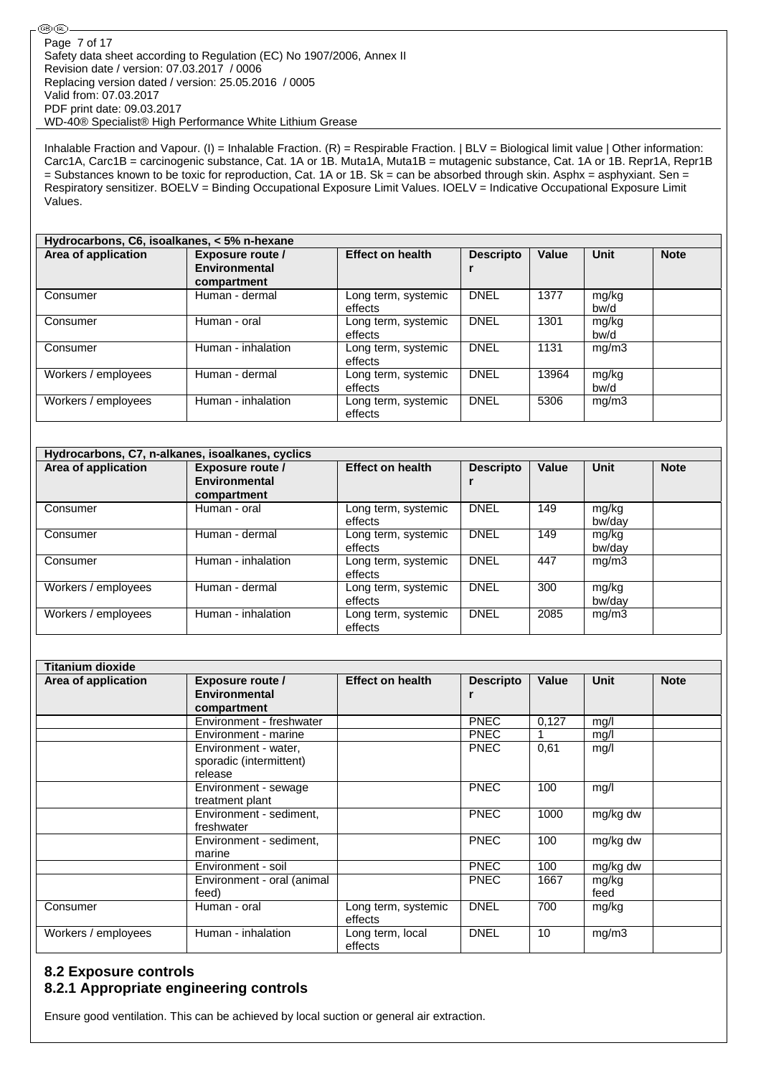Inhalable Fraction and Vapour. (I) = Inhalable Fraction. (R) = Respirable Fraction. | BLV = Biological limit value | Other information: Carc1A, Carc1B = carcinogenic substance, Cat. 1A or 1B. Muta1A, Muta1B = mutagenic substance, Cat. 1A or 1B. Repr1A, Repr1B  $=$  Substances known to be toxic for reproduction, Cat. 1A or 1B. Sk = can be absorbed through skin. Asphx = asphyxiant. Sen = Respiratory sensitizer. BOELV = Binding Occupational Exposure Limit Values. IOELV = Indicative Occupational Exposure Limit Values.

| Hydrocarbons, C6, isoalkanes, < 5% n-hexane |                    |                         |                  |       |       |             |  |  |
|---------------------------------------------|--------------------|-------------------------|------------------|-------|-------|-------------|--|--|
| Area of application                         | Exposure route /   | <b>Effect on health</b> | <b>Descripto</b> | Value | Unit  | <b>Note</b> |  |  |
|                                             | Environmental      |                         |                  |       |       |             |  |  |
|                                             | compartment        |                         |                  |       |       |             |  |  |
| Consumer                                    | Human - dermal     | Long term, systemic     | <b>DNEL</b>      | 1377  | mg/kg |             |  |  |
|                                             |                    | effects                 |                  |       | bw/d  |             |  |  |
| Consumer                                    | Human - oral       | Long term, systemic     | <b>DNEL</b>      | 1301  | mg/kg |             |  |  |
|                                             |                    | effects                 |                  |       | bw/d  |             |  |  |
| Consumer                                    | Human - inhalation | Long term, systemic     | <b>DNEL</b>      | 1131  | mg/m3 |             |  |  |
|                                             |                    | effects                 |                  |       |       |             |  |  |
| Workers / employees                         | Human - dermal     | Long term, systemic     | <b>DNEL</b>      | 13964 | mg/kg |             |  |  |
|                                             |                    | effects                 |                  |       | bw/d  |             |  |  |
| Workers / employees                         | Human - inhalation | Long term, systemic     | <b>DNEL</b>      | 5306  | mg/m3 |             |  |  |
|                                             |                    | effects                 |                  |       |       |             |  |  |

| Hydrocarbons, C7, n-alkanes, isoalkanes, cyclics |                                                         |                                |                  |       |                 |             |  |  |
|--------------------------------------------------|---------------------------------------------------------|--------------------------------|------------------|-------|-----------------|-------------|--|--|
| Area of application                              | <b>Exposure route /</b><br>Environmental<br>compartment | <b>Effect on health</b>        | <b>Descripto</b> | Value | <b>Unit</b>     | <b>Note</b> |  |  |
| Consumer                                         | Human - oral                                            | Long term, systemic<br>effects | <b>DNEL</b>      | 149   | mg/kg<br>bw/day |             |  |  |
| Consumer                                         | Human - dermal                                          | Long term, systemic<br>effects | <b>DNEL</b>      | 149   | mg/kg<br>bw/dav |             |  |  |
| Consumer                                         | Human - inhalation                                      | Long term, systemic<br>effects | <b>DNEL</b>      | 447   | mg/m3           |             |  |  |
| Workers / employees                              | Human - dermal                                          | Long term, systemic<br>effects | <b>DNEL</b>      | 300   | mg/kg<br>bw/day |             |  |  |
| Workers / employees                              | Human - inhalation                                      | Long term, systemic<br>effects | <b>DNEL</b>      | 2085  | mg/m3           |             |  |  |

| <b>Titanium dioxide</b> |                            |                         |                  |       |             |             |
|-------------------------|----------------------------|-------------------------|------------------|-------|-------------|-------------|
| Area of application     | <b>Exposure route /</b>    | <b>Effect on health</b> | <b>Descripto</b> | Value | <b>Unit</b> | <b>Note</b> |
|                         | <b>Environmental</b>       |                         | r                |       |             |             |
|                         | compartment                |                         |                  |       |             |             |
|                         | Environment - freshwater   |                         | <b>PNEC</b>      | 0,127 | mq/l        |             |
|                         | Environment - marine       |                         | <b>PNEC</b>      |       | mg/l        |             |
|                         | Environment - water,       |                         | <b>PNEC</b>      | 0,61  | mg/l        |             |
|                         | sporadic (intermittent)    |                         |                  |       |             |             |
|                         | release                    |                         |                  |       |             |             |
|                         | Environment - sewage       |                         | <b>PNEC</b>      | 100   | mg/l        |             |
|                         | treatment plant            |                         |                  |       |             |             |
|                         | Environment - sediment,    |                         | <b>PNEC</b>      | 1000  | mg/kg dw    |             |
|                         | freshwater                 |                         |                  |       |             |             |
|                         | Environment - sediment,    |                         | <b>PNEC</b>      | 100   | mg/kg dw    |             |
|                         | marine                     |                         |                  |       |             |             |
|                         | Environment - soil         |                         | <b>PNEC</b>      | 100   | mg/kg dw    |             |
|                         | Environment - oral (animal |                         | <b>PNEC</b>      | 1667  | mg/kg       |             |
|                         | feed)                      |                         |                  |       | feed        |             |
| Consumer                | Human - oral               | Long term, systemic     | <b>DNEL</b>      | 700   | mg/kg       |             |
|                         |                            | effects                 |                  |       |             |             |
| Workers / employees     | Human - inhalation         | Long term, local        | <b>DNEL</b>      | 10    | mg/m3       |             |
|                         |                            | effects                 |                  |       |             |             |

### **8.2 Exposure controls 8.2.1 Appropriate engineering controls**

Ensure good ventilation. This can be achieved by local suction or general air extraction.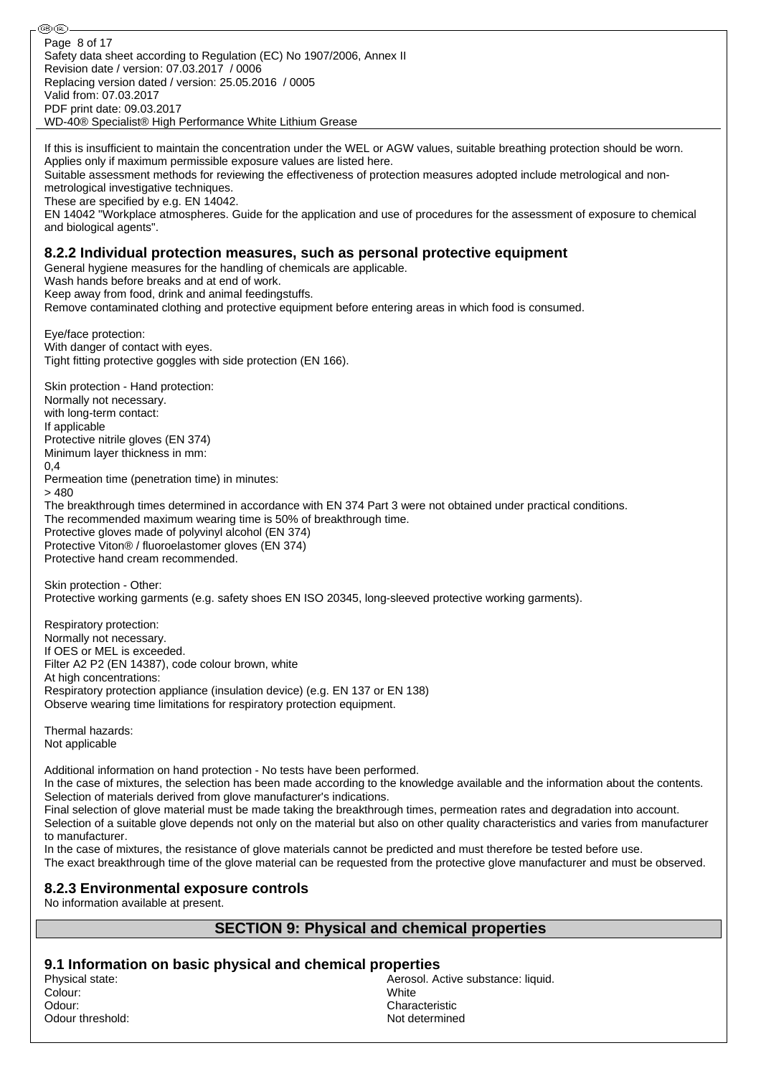⊛® Page 8 of 17Safety data sheet according to Regulation (EC) No 1907/2006, Annex II Revision date / version: 07.03.2017 / 0006 Replacing version dated / version: 25.05.2016 / 0005 Valid from: 07.03.2017 PDF print date: 09.03.2017 WD-40® Specialist® High Performance White Lithium Grease

If this is insufficient to maintain the concentration under the WEL or AGW values, suitable breathing protection should be worn. Applies only if maximum permissible exposure values are listed here.

Suitable assessment methods for reviewing the effectiveness of protection measures adopted include metrological and nonmetrological investigative techniques.

These are specified by e.g. EN 14042.

EN 14042 "Workplace atmospheres. Guide for the application and use of procedures for the assessment of exposure to chemical and biological agents".

#### **8.2.2 Individual protection measures, such as personal protective equipment**

General hygiene measures for the handling of chemicals are applicable.

Wash hands before breaks and at end of work.

Keep away from food, drink and animal feedingstuffs.

Remove contaminated clothing and protective equipment before entering areas in which food is consumed.

Eye/face protection: With danger of contact with eyes. Tight fitting protective goggles with side protection (EN 166).

Skin protection - Hand protection: Normally not necessary. with long-term contact: If applicable Protective nitrile gloves (EN 374) Minimum layer thickness in mm: 0,4 Permeation time (penetration time) in minutes:  $> 480$ The breakthrough times determined in accordance with EN 374 Part 3 were not obtained under practical conditions. The recommended maximum wearing time is 50% of breakthrough time. Protective gloves made of polyvinyl alcohol (EN 374) Protective Viton® / fluoroelastomer gloves (EN 374) Protective hand cream recommended.

Skin protection - Other: Protective working garments (e.g. safety shoes EN ISO 20345, long-sleeved protective working garments).

Respiratory protection: Normally not necessary. If OES or MEL is exceeded. Filter A2 P2 (EN 14387), code colour brown, white At high concentrations: Respiratory protection appliance (insulation device) (e.g. EN 137 or EN 138) Observe wearing time limitations for respiratory protection equipment.

Thermal hazards: Not applicable

Additional information on hand protection - No tests have been performed.

In the case of mixtures, the selection has been made according to the knowledge available and the information about the contents. Selection of materials derived from glove manufacturer's indications.

Final selection of glove material must be made taking the breakthrough times, permeation rates and degradation into account. Selection of a suitable glove depends not only on the material but also on other quality characteristics and varies from manufacturer to manufacturer.

In the case of mixtures, the resistance of glove materials cannot be predicted and must therefore be tested before use. The exact breakthrough time of the glove material can be requested from the protective glove manufacturer and must be observed.

#### **8.2.3 Environmental exposure controls**

No information available at present.

#### **SECTION 9: Physical and chemical properties**

**9.1 Information on basic physical and chemical properties**

Colour: White Odour: Characteristic Odour threshold: Not determined a state of the state of the state of the state of the state of the state of the state of the state of the state of the state of the state of the state of the state of the state of the state

Physical state:  $\blacksquare$  Aerosol. Active substance: liquid.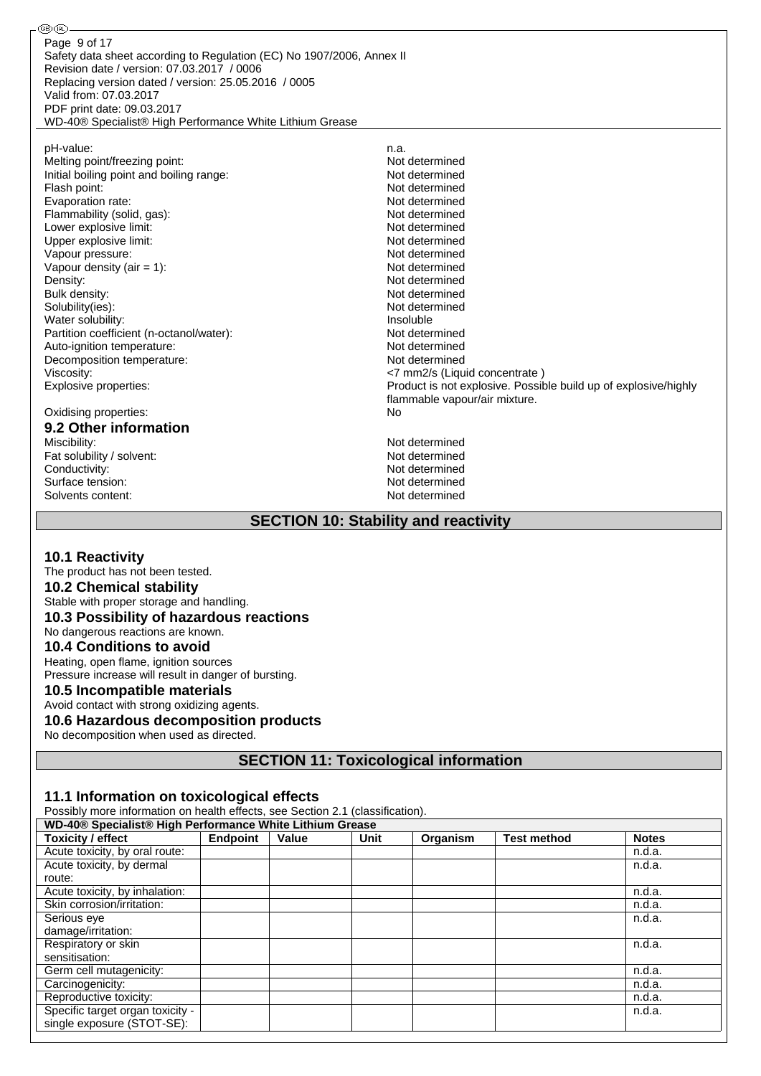Safety data sheet according to Regulation (EC) No 1907/2006, Annex II Revision date / version: 07.03.2017 / 0006 Replacing version dated / version: 25.05.2016 / 0005 Valid from: 07.03.2017 PDF print date: 09.03.2017 WD-40® Specialist® High Performance White Lithium Grease Page 9 of 17

pH-value: n.a.<br>
Melting point/freezing point: networks are not all the new more new more new more new more new more new more Melting point/freezing point: Initial boiling point and boiling range: Not determined Flash point: Not determined Evaporation rate: Not determined Flammability (solid, gas): Not determined Lower explosive limit:  $\blacksquare$ Upper explosive limit:  $\blacksquare$ Vapour pressure: Not determined Vapour density (air = 1): Not determined<br>Density: Not determined<br>Not determined Not determined Bulk density: Not determined Solubility(ies): Not determined Water solubility: **Insoluble Insoluble** Partition coefficient (n-octanol/water): Not determined Auto-ignition temperature:<br>
Decomposition temperature:<br>
Not determined<br>
Not determined Decomposition temperature: Viscosity: <7 mm2/s (Liquid concentrate ) Explosive properties: Product is not explosive. Possible build up of explosive/highly flammable vapour/air mixture. Oxidising properties: No **9.2 Other information** Not determined<br>Not determined Fat solubility / solvent: Conductivity:<br>
Surface tension:<br>
Not determined<br>
Not determined Surface tension: Not determined<br>Solvents content: Not determined<br>Not determined Solvents content:

#### **SECTION 10: Stability and reactivity**

#### **10.1 Reactivity**

௵

The product has not been tested. **10.2 Chemical stability** Stable with proper storage and handling. **10.3 Possibility of hazardous reactions** No dangerous reactions are known. **10.4 Conditions to avoid** Heating, open flame, ignition sources Pressure increase will result in danger of bursting. **10.5 Incompatible materials** Avoid contact with strong oxidizing agents. **10.6 Hazardous decomposition products**

No decomposition when used as directed.

**SECTION 11: Toxicological information**

### **11.1 Information on toxicological effects**

Possibly more information on health effects, see Section 2.1 (classification).

| WD-40® Specialist® High Performance White Lithium Grease |                 |       |      |          |                    |              |  |
|----------------------------------------------------------|-----------------|-------|------|----------|--------------------|--------------|--|
| <b>Toxicity / effect</b>                                 | <b>Endpoint</b> | Value | Unit | Organism | <b>Test method</b> | <b>Notes</b> |  |
| Acute toxicity, by oral route:                           |                 |       |      |          |                    | n.d.a.       |  |
| Acute toxicity, by dermal                                |                 |       |      |          |                    | n.d.a.       |  |
| route:                                                   |                 |       |      |          |                    |              |  |
| Acute toxicity, by inhalation:                           |                 |       |      |          |                    | n.d.a.       |  |
| Skin corrosion/irritation:                               |                 |       |      |          |                    | n.d.a.       |  |
| Serious eye                                              |                 |       |      |          |                    | n.d.a.       |  |
| damage/irritation:                                       |                 |       |      |          |                    |              |  |
| Respiratory or skin                                      |                 |       |      |          |                    | n.d.a.       |  |
| sensitisation:                                           |                 |       |      |          |                    |              |  |
| Germ cell mutagenicity:                                  |                 |       |      |          |                    | n.d.a.       |  |
| Carcinogenicity:                                         |                 |       |      |          |                    | n.d.a.       |  |
| Reproductive toxicity:                                   |                 |       |      |          |                    | n.d.a.       |  |
| Specific target organ toxicity -                         |                 |       |      |          |                    | n.d.a.       |  |
| single exposure (STOT-SE):                               |                 |       |      |          |                    |              |  |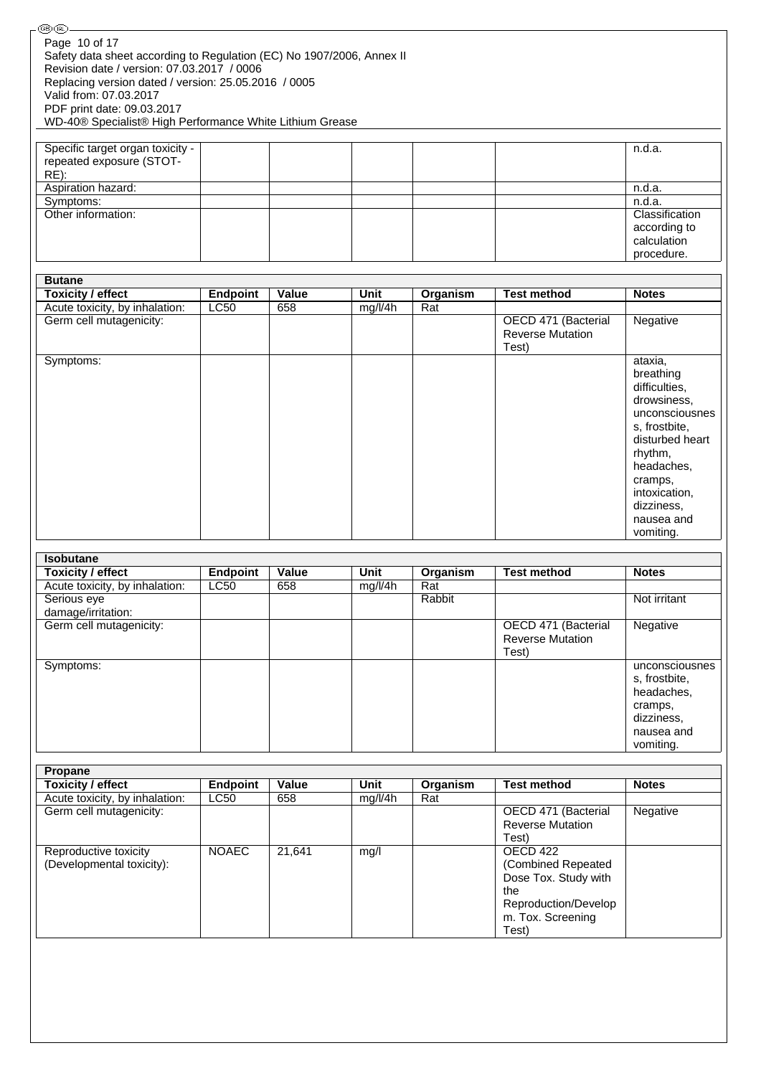| – ریمان ریاض<br>Page 10 of 17<br>Safety data sheet according to Regulation (EC) No 1907/2006, Annex II<br>Revision date / version: 07.03.2017 / 0006<br>Replacing version dated / version: 25.05.2016 / 0005<br>Valid from: 07.03.2017<br>PDF print date: 09.03.2017<br>WD-40® Specialist® High Performance White Lithium Grease |                 |       |         |          |                                                         |                                                                                                                                                                                             |
|----------------------------------------------------------------------------------------------------------------------------------------------------------------------------------------------------------------------------------------------------------------------------------------------------------------------------------|-----------------|-------|---------|----------|---------------------------------------------------------|---------------------------------------------------------------------------------------------------------------------------------------------------------------------------------------------|
| Specific target organ toxicity -<br>repeated exposure (STOT-<br>$RE)$ :                                                                                                                                                                                                                                                          |                 |       |         |          |                                                         | n.d.a.                                                                                                                                                                                      |
| Aspiration hazard:                                                                                                                                                                                                                                                                                                               |                 |       |         |          |                                                         | n.d.a.                                                                                                                                                                                      |
| Symptoms:                                                                                                                                                                                                                                                                                                                        |                 |       |         |          |                                                         | n.d.a.                                                                                                                                                                                      |
| Other information:                                                                                                                                                                                                                                                                                                               |                 |       |         |          |                                                         | Classification<br>according to<br>calculation<br>procedure.                                                                                                                                 |
|                                                                                                                                                                                                                                                                                                                                  |                 |       |         |          |                                                         |                                                                                                                                                                                             |
| <b>Butane</b>                                                                                                                                                                                                                                                                                                                    |                 |       |         |          |                                                         |                                                                                                                                                                                             |
| <b>Toxicity / effect</b>                                                                                                                                                                                                                                                                                                         | <b>Endpoint</b> | Value | Unit    | Organism | <b>Test method</b>                                      | <b>Notes</b>                                                                                                                                                                                |
| Acute toxicity, by inhalation:                                                                                                                                                                                                                                                                                                   | LC50            | 658   | mg/l/4h | Rat      |                                                         |                                                                                                                                                                                             |
| Germ cell mutagenicity:                                                                                                                                                                                                                                                                                                          |                 |       |         |          | OECD 471 (Bacterial<br><b>Reverse Mutation</b><br>Test) | Negative                                                                                                                                                                                    |
| Symptoms:                                                                                                                                                                                                                                                                                                                        |                 |       |         |          |                                                         | ataxia,<br>breathing<br>difficulties,<br>drowsiness,<br>unconsciousnes<br>s. frostbite.<br>disturbed heart<br>rhythm,<br>headaches,<br>cramps,<br>intoxication,<br>dizziness,<br>nausea and |

| <b>Isobutane</b>               |             |       |         |          |                         |                |
|--------------------------------|-------------|-------|---------|----------|-------------------------|----------------|
| Toxicity / effect              | Endpoint    | Value | Unit    | Organism | <b>Test method</b>      | <b>Notes</b>   |
| Acute toxicity, by inhalation: | <b>LC50</b> | 658   | mg/l/4h | Rat      |                         |                |
| Serious eye                    |             |       |         | Rabbit   |                         | Not irritant   |
| damage/irritation:             |             |       |         |          |                         |                |
| Germ cell mutagenicity:        |             |       |         |          | OECD 471 (Bacterial     | Negative       |
|                                |             |       |         |          | <b>Reverse Mutation</b> |                |
|                                |             |       |         |          | Test)                   |                |
| Symptoms:                      |             |       |         |          |                         | unconsciousnes |
|                                |             |       |         |          |                         | s, frostbite,  |
|                                |             |       |         |          |                         | headaches,     |
|                                |             |       |         |          |                         | cramps,        |
|                                |             |       |         |          |                         | dizziness,     |
|                                |             |       |         |          |                         | nausea and     |
|                                |             |       |         |          |                         | vomiting.      |

| <b>Propane</b>                 |              |        |         |          |                         |              |
|--------------------------------|--------------|--------|---------|----------|-------------------------|--------------|
| <b>Toxicity / effect</b>       | Endpoint     | Value  | Unit    | Organism | <b>Test method</b>      | <b>Notes</b> |
| Acute toxicity, by inhalation: | <b>LC50</b>  | 658    | mg/l/4h | Rat      |                         |              |
| Germ cell mutagenicity:        |              |        |         |          | OECD 471 (Bacterial     | Negative     |
|                                |              |        |         |          | <b>Reverse Mutation</b> |              |
|                                |              |        |         |          | Test)                   |              |
| Reproductive toxicity          | <b>NOAEC</b> | 21.641 | mg/l    |          | OECD 422                |              |
| (Developmental toxicity):      |              |        |         |          | (Combined Repeated)     |              |
|                                |              |        |         |          | Dose Tox. Study with    |              |
|                                |              |        |         |          | the                     |              |
|                                |              |        |         |          | Reproduction/Develop    |              |
|                                |              |        |         |          | m. Tox. Screening       |              |
|                                |              |        |         |          | Test)                   |              |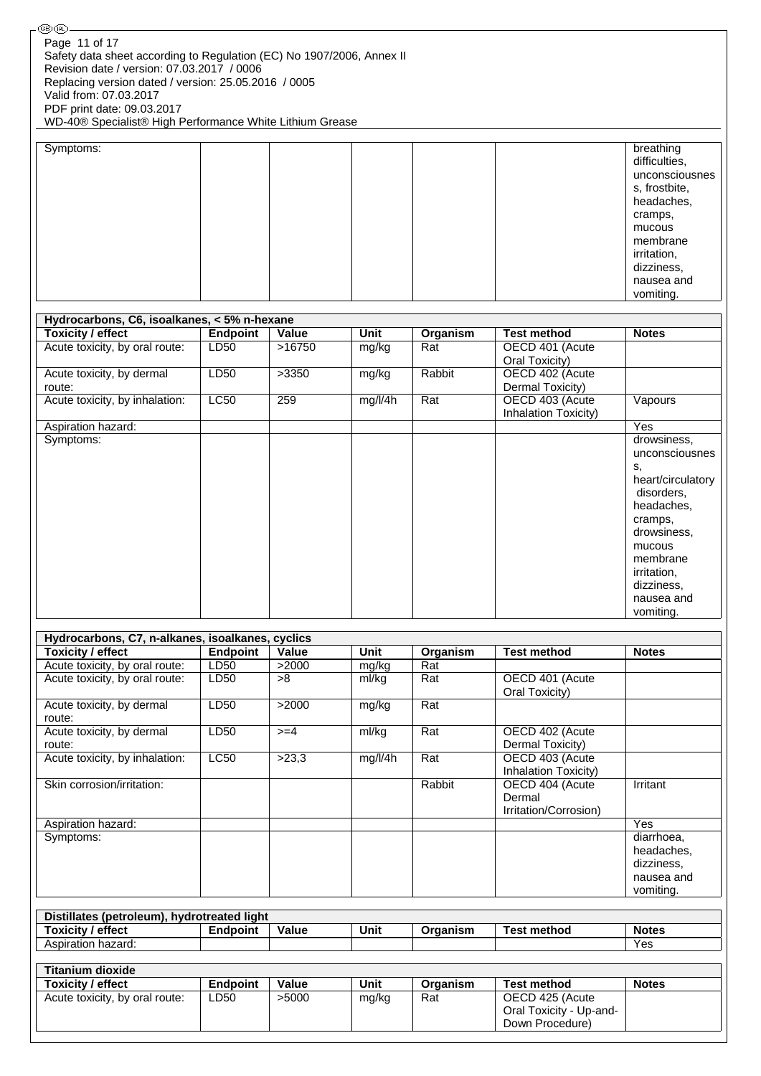| Symptoms: |  | breathing<br>difficulties,<br>unconsciousnes<br>s, frostbite,<br>headaches,<br>cramps,<br>mucous<br>membrane<br>irritation,<br>dizziness, |
|-----------|--|-------------------------------------------------------------------------------------------------------------------------------------------|
|           |  | nausea and<br>vomiting.                                                                                                                   |

| Hydrocarbons, C6, isoalkanes, < 5% n-hexane |                 |        |         |          |                      |                   |  |  |
|---------------------------------------------|-----------------|--------|---------|----------|----------------------|-------------------|--|--|
| <b>Toxicity / effect</b>                    | <b>Endpoint</b> | Value  | Unit    | Organism | <b>Test method</b>   | <b>Notes</b>      |  |  |
| Acute toxicity, by oral route:              | LD50            | >16750 | mg/kg   | Rat      | OECD 401 (Acute      |                   |  |  |
|                                             |                 |        |         |          | Oral Toxicity)       |                   |  |  |
| Acute toxicity, by dermal                   | LD50            | >3350  | mg/kg   | Rabbit   | OECD 402 (Acute      |                   |  |  |
| route:                                      |                 |        |         |          | Dermal Toxicity)     |                   |  |  |
| Acute toxicity, by inhalation:              | LC50            | 259    | mg/l/4h | Rat      | OECD 403 (Acute      | Vapours           |  |  |
|                                             |                 |        |         |          | Inhalation Toxicity) |                   |  |  |
| Aspiration hazard:                          |                 |        |         |          |                      | Yes               |  |  |
| Symptoms:                                   |                 |        |         |          |                      | drowsiness,       |  |  |
|                                             |                 |        |         |          |                      | unconsciousnes    |  |  |
|                                             |                 |        |         |          |                      | s,                |  |  |
|                                             |                 |        |         |          |                      | heart/circulatory |  |  |
|                                             |                 |        |         |          |                      | disorders,        |  |  |
|                                             |                 |        |         |          |                      | headaches,        |  |  |
|                                             |                 |        |         |          |                      | cramps,           |  |  |
|                                             |                 |        |         |          |                      | drowsiness,       |  |  |
|                                             |                 |        |         |          |                      | mucous            |  |  |
|                                             |                 |        |         |          |                      | membrane          |  |  |
|                                             |                 |        |         |          |                      | irritation,       |  |  |
|                                             |                 |        |         |          |                      | dizziness,        |  |  |
|                                             |                 |        |         |          |                      | nausea and        |  |  |
|                                             |                 |        |         |          |                      | vomiting.         |  |  |

| Hydrocarbons, C7, n-alkanes, isoalkanes, cyclics |                 |        |             |          |                                                    |                                                                   |
|--------------------------------------------------|-----------------|--------|-------------|----------|----------------------------------------------------|-------------------------------------------------------------------|
| <b>Toxicity / effect</b>                         | <b>Endpoint</b> | Value  | <b>Unit</b> | Organism | <b>Test method</b>                                 | <b>Notes</b>                                                      |
| Acute toxicity, by oral route:                   | LD50            | >2000  | mg/kg       | Rat      |                                                    |                                                                   |
| Acute toxicity, by oral route:                   | LD50            | >8     | ml/kg       | Rat      | OECD 401 (Acute<br>Oral Toxicity)                  |                                                                   |
| Acute toxicity, by dermal<br>route:              | LD50            | >2000  | mg/kg       | Rat      |                                                    |                                                                   |
| Acute toxicity, by dermal<br>route:              | LD50            | $>= 4$ | ml/kg       | Rat      | OECD 402 (Acute<br>Dermal Toxicity)                |                                                                   |
| Acute toxicity, by inhalation:                   | LC50            | >23,3  | mg/l/4h     | Rat      | OECD 403 (Acute<br>Inhalation Toxicity)            |                                                                   |
| Skin corrosion/irritation:                       |                 |        |             | Rabbit   | OECD 404 (Acute<br>Dermal<br>Irritation/Corrosion) | Irritant                                                          |
| Aspiration hazard:                               |                 |        |             |          |                                                    | Yes                                                               |
| Symptoms:                                        |                 |        |             |          |                                                    | diarrhoea,<br>headaches.<br>dizziness,<br>nausea and<br>vomiting. |
|                                                  |                 |        |             |          |                                                    |                                                                   |
| Distillates (petroleum), hydrotreated light      |                 |        |             |          | <b>Test method</b>                                 |                                                                   |
| <b>Toxicity / effect</b>                         | <b>Endpoint</b> | Value  | Unit        | Organism |                                                    | <b>Notes</b><br>Yes                                               |
| Aspiration hazard:                               |                 |        |             |          |                                                    |                                                                   |
| <b>Titanium dioxide</b>                          |                 |        |             |          |                                                    |                                                                   |
| Toxicity / effect                                | <b>Endpoint</b> | Value  | <b>Unit</b> | Organism | <b>Test method</b>                                 | <b>Notes</b>                                                      |
| Acute toxicity, by oral route:                   | LD50            | >5000  | mg/kg       | Rat      | OECD 425 (Acute<br>Oral Toxicity - Up-and-         |                                                                   |

Down Procedure)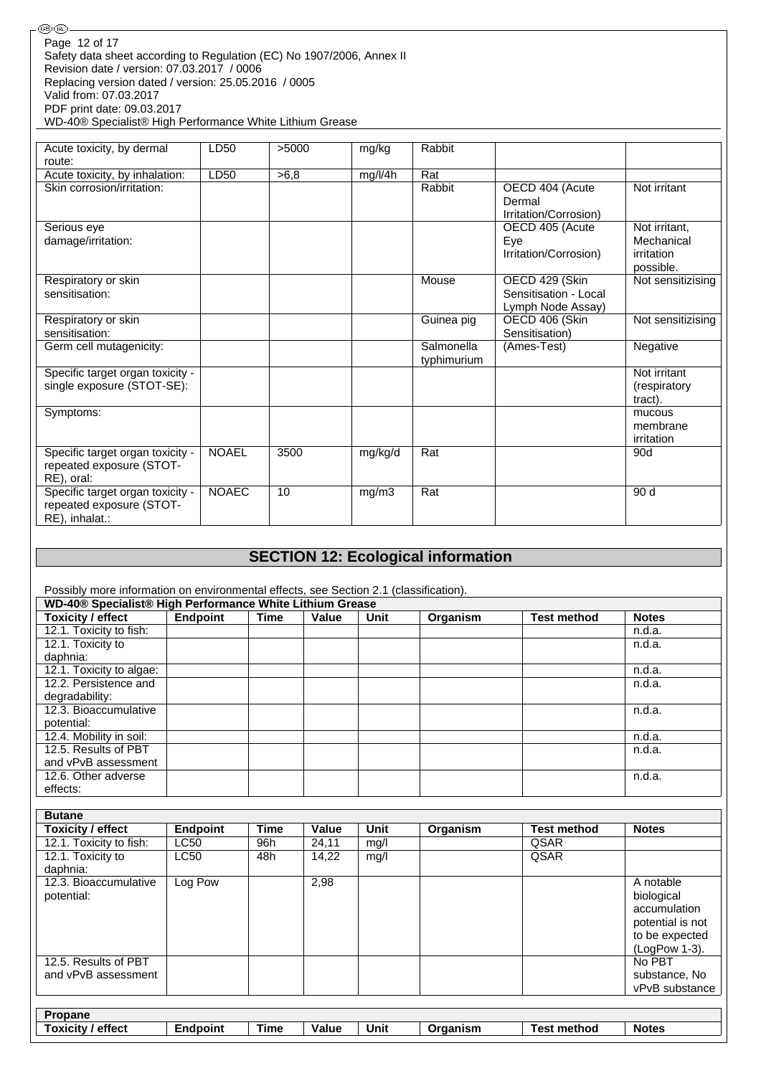| (GB) (IRL)                                                            |
|-----------------------------------------------------------------------|
| Page 12 of 17                                                         |
| Safety data sheet according to Regulation (EC) No 1907/2006, Annex II |
| Revision date / version: 07.03.2017 / 0006                            |
|                                                                       |
| Replacing version dated / version: 25.05.2016 / 0005                  |
| Valid from: 07.03.2017                                                |
| PDF print date: 09.03.2017                                            |
| WD-40® Specialist® High Performance White Lithium Grease              |

| Acute toxicity, by dermal                                                      | LD50         | >5000 | mg/kg   | Rabbit                    |                                                              |                                          |
|--------------------------------------------------------------------------------|--------------|-------|---------|---------------------------|--------------------------------------------------------------|------------------------------------------|
| route:                                                                         |              |       |         |                           |                                                              |                                          |
| Acute toxicity, by inhalation:                                                 | LD50         | >6,8  | mg/l/4h | Rat                       |                                                              |                                          |
| Skin corrosion/irritation:                                                     |              |       |         | Rabbit                    | OECD 404 (Acute<br>Dermal<br>Irritation/Corrosion)           | Not irritant                             |
| Serious eye                                                                    |              |       |         |                           | OECD 405 (Acute                                              | Not irritant,                            |
| damage/irritation:                                                             |              |       |         |                           | Eye<br>Irritation/Corrosion)                                 | Mechanical<br>irritation<br>possible.    |
| Respiratory or skin<br>sensitisation:                                          |              |       |         | Mouse                     | OECD 429 (Skin<br>Sensitisation - Local<br>Lymph Node Assay) | Not sensitizising                        |
| Respiratory or skin<br>sensitisation:                                          |              |       |         | Guinea pig                | OECD 406 (Skin<br>Sensitisation)                             | Not sensitizising                        |
| Germ cell mutagenicity:                                                        |              |       |         | Salmonella<br>typhimurium | (Ames-Test)                                                  | Negative                                 |
| Specific target organ toxicity -<br>single exposure (STOT-SE):                 |              |       |         |                           |                                                              | Not irritant<br>(respiratory)<br>tract). |
| Symptoms:                                                                      |              |       |         |                           |                                                              | mucous<br>membrane<br>irritation         |
| Specific target organ toxicity -<br>repeated exposure (STOT-<br>RE), oral:     | <b>NOAEL</b> | 3500  | mg/kg/d | Rat                       |                                                              | 90d                                      |
| Specific target organ toxicity -<br>repeated exposure (STOT-<br>RE), inhalat.: | <b>NOAEC</b> | 10    | mg/m3   | Rat                       |                                                              | 90 d                                     |

# **SECTION 12: Ecological information**

Possibly more information on environmental effects, see Section 2.1 (classification).

| WD-40® Specialist® High Performance White Lithium Grease |          |      |       |      |          |                    |              |  |  |
|----------------------------------------------------------|----------|------|-------|------|----------|--------------------|--------------|--|--|
| <b>Toxicity / effect</b>                                 | Endpoint | Time | Value | Unit | Organism | <b>Test method</b> | <b>Notes</b> |  |  |
| 12.1. Toxicity to fish:                                  |          |      |       |      |          |                    | n.d.a.       |  |  |
| 12.1. Toxicity to                                        |          |      |       |      |          |                    | n.d.a.       |  |  |
| daphnia:                                                 |          |      |       |      |          |                    |              |  |  |
| 12.1. Toxicity to algae:                                 |          |      |       |      |          |                    | n.d.a.       |  |  |
| 12.2. Persistence and                                    |          |      |       |      |          |                    | n.d.a.       |  |  |
| degradability:                                           |          |      |       |      |          |                    |              |  |  |
| 12.3. Bioaccumulative                                    |          |      |       |      |          |                    | n.d.a.       |  |  |
| potential:                                               |          |      |       |      |          |                    |              |  |  |
| 12.4. Mobility in soil:                                  |          |      |       |      |          |                    | n.d.a.       |  |  |
| 12.5. Results of PBT                                     |          |      |       |      |          |                    | n.d.a.       |  |  |
| and vPvB assessment                                      |          |      |       |      |          |                    |              |  |  |
| 12.6. Other adverse                                      |          |      |       |      |          |                    | n.d.a.       |  |  |
| effects:                                                 |          |      |       |      |          |                    |              |  |  |

| <b>Butane</b>                       |                 |                |                             |                     |                                    |                    |                                                                                                |
|-------------------------------------|-----------------|----------------|-----------------------------|---------------------|------------------------------------|--------------------|------------------------------------------------------------------------------------------------|
| Toxicity / effect                   | <b>Endpoint</b> | <b>Time</b>    | Value                       | <b>Unit</b>         | Organism                           | <b>Test method</b> | <b>Notes</b>                                                                                   |
| 12.1. Toxicity to fish:             | <b>LC50</b>     | 96h            | 24,11                       | mg/l                |                                    | QSAR               |                                                                                                |
| 12.1. Toxicity to<br>daphnia:       | <b>LC50</b>     | 48h            | 14,22                       | mq/l                |                                    | QSAR               |                                                                                                |
| 12.3. Bioaccumulative<br>potential: | Log Pow         |                | 2,98                        |                     |                                    |                    | A notable<br>biological<br>accumulation<br>potential is not<br>to be expected<br>(LogPow 1-3). |
| 12.5. Results of PBT                |                 |                |                             |                     |                                    |                    | No PBT                                                                                         |
| and vPvB assessment                 |                 |                |                             |                     |                                    |                    | substance, No                                                                                  |
|                                     |                 |                |                             |                     |                                    |                    | vPvB substance                                                                                 |
|                                     |                 |                |                             |                     |                                    |                    |                                                                                                |
| Propane                             |                 |                |                             |                     |                                    |                    |                                                                                                |
| — <u>.</u>                          |                 | <b>Service</b> | $\mathbf{v}$ . $\mathbf{v}$ | <b><i>BRITA</i></b> | $\sim$ $\sim$ $\sim$ $\sim$ $\sim$ |                    | $\blacksquare$                                                                                 |

| effect<br>OXIC<br>ਟ।t∨ | :ndnoint<br>11 | $- -$<br>⊺ime<br>_____ | Value<br>. | Unit<br>$\sim$ $\sim$ | Organism | ae'<br>method<br>met | <b>Notes</b> |
|------------------------|----------------|------------------------|------------|-----------------------|----------|----------------------|--------------|
|                        |                |                        |            |                       |          |                      |              |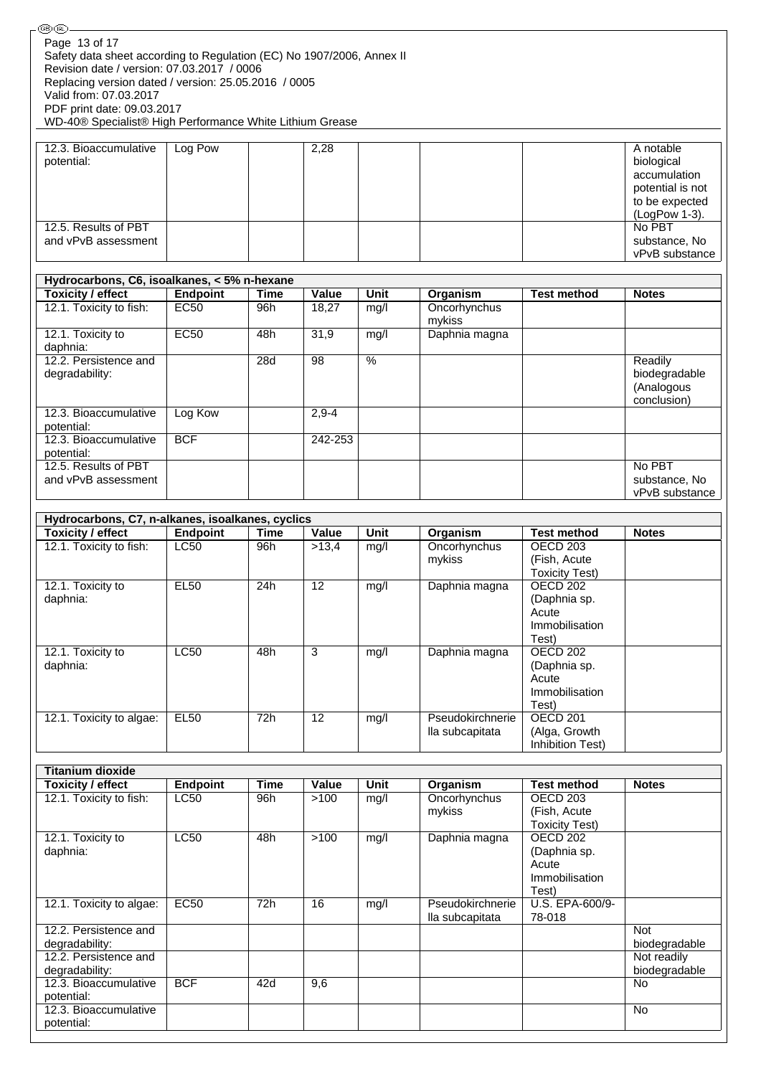| Page 13 of 17                                                                                      |                 |             |              |               |                        |                       |                              |
|----------------------------------------------------------------------------------------------------|-----------------|-------------|--------------|---------------|------------------------|-----------------------|------------------------------|
| Safety data sheet according to Regulation (EC) No 1907/2006, Annex II                              |                 |             |              |               |                        |                       |                              |
| Revision date / version: 07.03.2017 / 0006<br>Replacing version dated / version: 25.05.2016 / 0005 |                 |             |              |               |                        |                       |                              |
| Valid from: 07.03.2017                                                                             |                 |             |              |               |                        |                       |                              |
| PDF print date: 09.03.2017                                                                         |                 |             |              |               |                        |                       |                              |
| WD-40® Specialist® High Performance White Lithium Grease                                           |                 |             |              |               |                        |                       |                              |
|                                                                                                    |                 |             |              |               |                        |                       |                              |
| 12.3. Bioaccumulative                                                                              | Log Pow         |             | 2,28         |               |                        |                       | A notable                    |
| potential:                                                                                         |                 |             |              |               |                        |                       | biological                   |
|                                                                                                    |                 |             |              |               |                        |                       | accumulation                 |
|                                                                                                    |                 |             |              |               |                        |                       | potential is not             |
|                                                                                                    |                 |             |              |               |                        |                       | to be expected               |
|                                                                                                    |                 |             |              |               |                        |                       | (LogPow 1-3).                |
| 12.5. Results of PBT                                                                               |                 |             |              |               |                        |                       | No PBT                       |
| and vPvB assessment                                                                                |                 |             |              |               |                        |                       | substance, No                |
|                                                                                                    |                 |             |              |               |                        |                       | vPvB substance               |
|                                                                                                    |                 |             |              |               |                        |                       |                              |
| Hydrocarbons, C6, isoalkanes, < 5% n-hexane                                                        |                 |             |              |               |                        |                       |                              |
| <b>Toxicity / effect</b>                                                                           | <b>Endpoint</b> | <b>Time</b> | <b>Value</b> | <b>Unit</b>   | Organism               | <b>Test method</b>    | <b>Notes</b>                 |
| 12.1. Toxicity to fish:                                                                            | <b>EC50</b>     | 96h         | 18,27        | mg/l          | Oncorhynchus<br>mykiss |                       |                              |
| 12.1. Toxicity to                                                                                  | <b>EC50</b>     | 48h         | 31,9         | mg/l          | Daphnia magna          |                       |                              |
| daphnia:                                                                                           |                 |             |              |               |                        |                       |                              |
| 12.2. Persistence and                                                                              |                 | 28d         | 98           | $\frac{9}{6}$ |                        |                       | Readily                      |
| degradability:                                                                                     |                 |             |              |               |                        |                       | biodegradable                |
|                                                                                                    |                 |             |              |               |                        |                       | (Analogous                   |
|                                                                                                    |                 |             |              |               |                        |                       | conclusion)                  |
| 12.3. Bioaccumulative                                                                              | Log Kow         |             | $2,9-4$      |               |                        |                       |                              |
| potential:                                                                                         |                 |             |              |               |                        |                       |                              |
| 12.3. Bioaccumulative                                                                              | <b>BCF</b>      |             | 242-253      |               |                        |                       |                              |
| potential:                                                                                         |                 |             |              |               |                        |                       |                              |
| 12.5. Results of PBT                                                                               |                 |             |              |               |                        |                       | No PBT                       |
| and vPvB assessment                                                                                |                 |             |              |               |                        |                       | substance, No                |
|                                                                                                    |                 |             |              |               |                        |                       | vPvB substance               |
|                                                                                                    |                 |             |              |               |                        |                       |                              |
| Hydrocarbons, C7, n-alkanes, isoalkanes, cyclics                                                   |                 |             |              |               |                        |                       |                              |
| <b>Toxicity / effect</b>                                                                           | <b>Endpoint</b> | <b>Time</b> | Value        | Unit          |                        | <b>Test method</b>    | <b>Notes</b>                 |
|                                                                                                    |                 |             |              |               | Organism               |                       |                              |
| 12.1. Toxicity to fish:                                                                            | <b>LC50</b>     | 96h         | >13,4        | mg/l          | Oncorhynchus           | OECD <sub>203</sub>   |                              |
|                                                                                                    |                 |             |              |               | mykiss                 | (Fish, Acute          |                              |
|                                                                                                    |                 |             |              |               |                        | <b>Toxicity Test)</b> |                              |
| 12.1. Toxicity to                                                                                  | <b>EL50</b>     | 24h         | 12           | mg/l          | Daphnia magna          | OECD <sub>202</sub>   |                              |
| daphnia:                                                                                           |                 |             |              |               |                        | (Daphnia sp.          |                              |
|                                                                                                    |                 |             |              |               |                        | Acute                 |                              |
|                                                                                                    |                 |             |              |               |                        | Immobilisation        |                              |
|                                                                                                    |                 |             |              |               |                        | Test)                 |                              |
| 12.1. Toxicity to                                                                                  | LC50            | 48h         | 3            | mg/l          | Daphnia magna          | <b>OECD 202</b>       |                              |
| daphnia:                                                                                           |                 |             |              |               |                        | (Daphnia sp.          |                              |
|                                                                                                    |                 |             |              |               |                        | Acute                 |                              |
|                                                                                                    |                 |             |              |               |                        | Immobilisation        |                              |
|                                                                                                    |                 |             |              |               |                        | Test)                 |                              |
| 12.1. Toxicity to algae:                                                                           | <b>EL50</b>     | 72h         | 12           | mg/l          | Pseudokirchnerie       | <b>OECD 201</b>       |                              |
|                                                                                                    |                 |             |              |               | lla subcapitata        | (Alga, Growth         |                              |
|                                                                                                    |                 |             |              |               |                        | Inhibition Test)      |                              |
|                                                                                                    |                 |             |              |               |                        |                       |                              |
| <b>Titanium dioxide</b>                                                                            |                 |             |              |               |                        |                       |                              |
| <b>Toxicity / effect</b>                                                                           | <b>Endpoint</b> | <b>Time</b> | Value        | Unit          | <b>Organism</b>        | <b>Test method</b>    | <b>Notes</b>                 |
| 12.1. Toxicity to fish:                                                                            | <b>LC50</b>     | 96h         | >100         | mg/l          | Oncorhynchus           | <b>OECD 203</b>       |                              |
|                                                                                                    |                 |             |              |               | mykiss                 | (Fish, Acute          |                              |
|                                                                                                    |                 |             |              |               |                        | <b>Toxicity Test)</b> |                              |
| 12.1. Toxicity to                                                                                  | LC50            | 48h         | $>100$       | mg/l          | Daphnia magna          | OECD <sub>202</sub>   |                              |
| daphnia:                                                                                           |                 |             |              |               |                        | (Daphnia sp.          |                              |
|                                                                                                    |                 |             |              |               |                        | Acute                 |                              |
|                                                                                                    |                 |             |              |               |                        | Immobilisation        |                              |
|                                                                                                    |                 |             |              |               |                        | Test)                 |                              |
| 12.1. Toxicity to algae:                                                                           | <b>EC50</b>     | 72h         | 16           | mg/l          | Pseudokirchnerie       | U.S. EPA-600/9-       |                              |
| 12.2. Persistence and                                                                              |                 |             |              |               | lla subcapitata        | 78-018                | <b>Not</b>                   |
| degradability:                                                                                     |                 |             |              |               |                        |                       |                              |
| 12.2. Persistence and                                                                              |                 |             |              |               |                        |                       | biodegradable<br>Not readily |
| degradability:                                                                                     |                 |             |              |               |                        |                       | biodegradable                |
| 12.3. Bioaccumulative                                                                              | <b>BCF</b>      | 42d         | 9,6          |               |                        |                       | No                           |
| potential:                                                                                         |                 |             |              |               |                        |                       |                              |
| 12.3. Bioaccumulative<br>potential:                                                                |                 |             |              |               |                        |                       | <b>No</b>                    |

 $\overline{\mathbb{C}}$ ®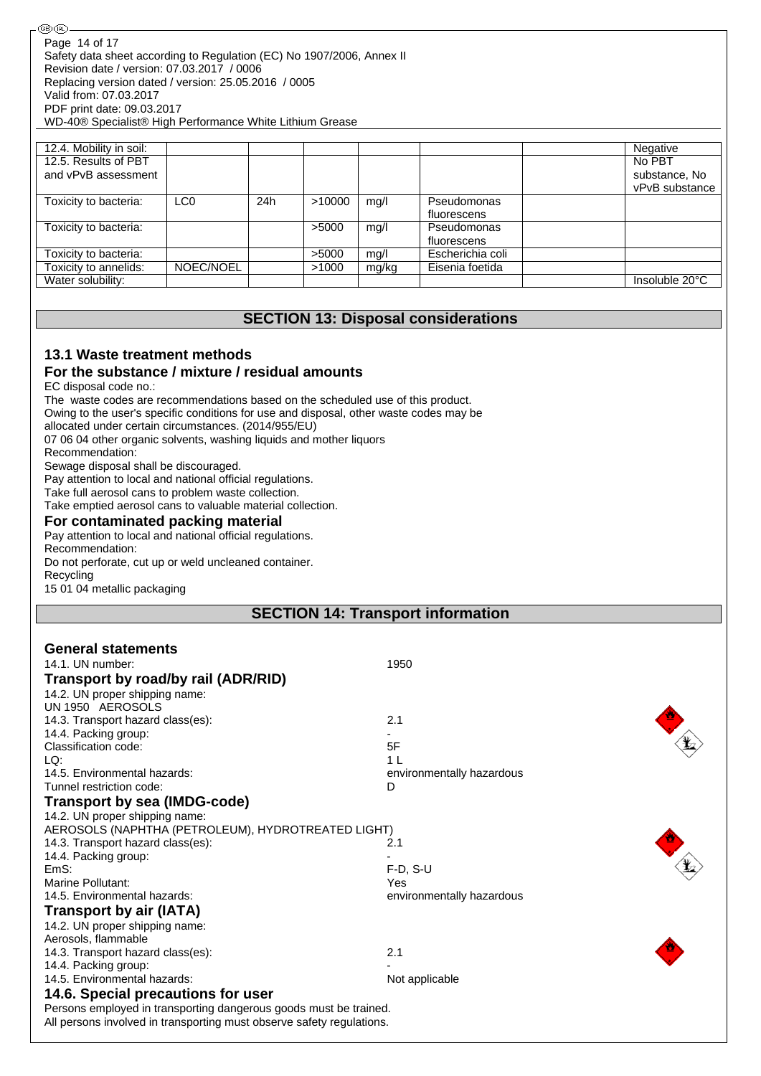| 12.4. Mobility in soil: |                 |     |        |       |                  | Negative       |
|-------------------------|-----------------|-----|--------|-------|------------------|----------------|
| 12.5. Results of PBT    |                 |     |        |       |                  | No PBT         |
| and vPvB assessment     |                 |     |        |       |                  | substance, No  |
|                         |                 |     |        |       |                  | vPvB substance |
| Toxicity to bacteria:   | LC <sub>0</sub> | 24h | >10000 | mq/l  | Pseudomonas      |                |
|                         |                 |     |        |       | fluorescens      |                |
| Toxicity to bacteria:   |                 |     | >5000  | mg/l  | Pseudomonas      |                |
|                         |                 |     |        |       | fluorescens      |                |
| Toxicity to bacteria:   |                 |     | >5000  | mg/l  | Escherichia coli |                |
| Toxicity to annelids:   | NOEC/NOEL       |     | >1000  | mg/kg | Eisenia foetida  |                |
| Water solubility:       |                 |     |        |       |                  | Insoluble 20°C |

### **SECTION 13: Disposal considerations**

## **13.1 Waste treatment methods**

### **For the substance / mixture / residual amounts**

EC disposal code no.:

The waste codes are recommendations based on the scheduled use of this product. Owing to the user's specific conditions for use and disposal, other waste codes may be allocated under certain circumstances. (2014/955/EU) 07 06 04 other organic solvents, washing liquids and mother liquors Recommendation: Sewage disposal shall be discouraged.

Pay attention to local and national official regulations.

Take full aerosol cans to problem waste collection.

Take emptied aerosol cans to valuable material collection.

#### **For contaminated packing material**

Pay attention to local and national official regulations.

Recommendation:

Do not perforate, cut up or weld uncleaned container.

Recycling

15 01 04 metallic packaging

### **SECTION 14: Transport information**

| <b>General statements</b>                                             |                           |
|-----------------------------------------------------------------------|---------------------------|
| 14.1. UN number:                                                      | 1950                      |
| Transport by road/by rail (ADR/RID)                                   |                           |
| 14.2. UN proper shipping name:                                        |                           |
| UN 1950 AEROSOLS                                                      |                           |
| 14.3. Transport hazard class(es):                                     | 2.1                       |
| 14.4. Packing group:                                                  |                           |
| Classification code:                                                  | 5F                        |
| LQ:                                                                   | 1 <sup>1</sup>            |
| 14.5. Environmental hazards:                                          | environmentally hazardous |
| Tunnel restriction code:                                              | D                         |
| <b>Transport by sea (IMDG-code)</b>                                   |                           |
| 14.2. UN proper shipping name:                                        |                           |
| AEROSOLS (NAPHTHA (PETROLEUM), HYDROTREATED LIGHT)                    |                           |
| 14.3. Transport hazard class(es):                                     | 2.1                       |
| 14.4. Packing group:                                                  |                           |
| EmS:                                                                  | $F-D, S-U$                |
| Marine Pollutant:                                                     | Yes                       |
| 14.5. Environmental hazards:                                          | environmentally hazardous |
| <b>Transport by air (IATA)</b>                                        |                           |
| 14.2. UN proper shipping name:                                        |                           |
| Aerosols, flammable                                                   |                           |
| 14.3. Transport hazard class(es):                                     | 2.1                       |
| 14.4. Packing group:                                                  |                           |
| 14.5. Environmental hazards:                                          | Not applicable            |
| 14.6. Special precautions for user                                    |                           |
| Persons employed in transporting dangerous goods must be trained.     |                           |
| All persons involved in transporting must observe safety regulations. |                           |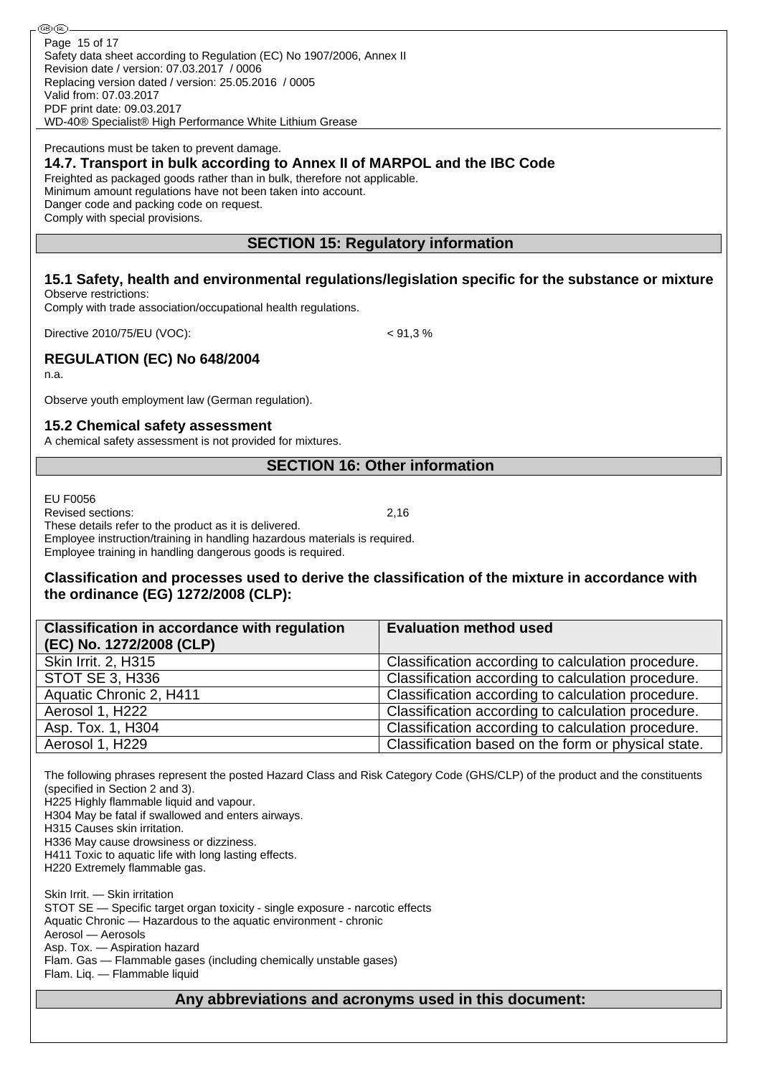Safety data sheet according to Regulation (EC) No 1907/2006, Annex II Revision date / version: 07.03.2017 / 0006 Replacing version dated / version: 25.05.2016 / 0005 Valid from: 07.03.2017 PDF print date: 09.03.2017 WD-40® Specialist® High Performance White Lithium Grease Page 15 of 17

Precautions must be taken to prevent damage.

### **14.7. Transport in bulk according to Annex II of MARPOL and the IBC Code**

Freighted as packaged goods rather than in bulk, therefore not applicable.

Minimum amount regulations have not been taken into account.

Danger code and packing code on request.

Comply with special provisions.

### **SECTION 15: Regulatory information**

**15.1 Safety, health and environmental regulations/legislation specific for the substance or mixture** Observe restrictions:

Comply with trade association/occupational health regulations.

Directive 2010/75/EU (VOC): < 91,3 %

### **REGULATION (EC) No 648/2004**

n.a.

Observe youth employment law (German regulation).

#### **15.2 Chemical safety assessment**

A chemical safety assessment is not provided for mixtures.

### **SECTION 16: Other information**

EU F0056

Revised sections: 2,16

These details refer to the product as it is delivered.

Employee instruction/training in handling hazardous materials is required. Employee training in handling dangerous goods is required.

#### **Classification and processes used to derive the classification of the mixture in accordance with the ordinance (EG) 1272/2008 (CLP):**

| <b>Classification in accordance with regulation</b> | <b>Evaluation method used</b>                       |
|-----------------------------------------------------|-----------------------------------------------------|
| (EC) No. 1272/2008 (CLP)                            |                                                     |
| Skin Irrit. 2, H315                                 | Classification according to calculation procedure.  |
| STOT SE 3, H336                                     | Classification according to calculation procedure.  |
| Aquatic Chronic 2, H411                             | Classification according to calculation procedure.  |
| Aerosol 1, H222                                     | Classification according to calculation procedure.  |
| Asp. Tox. 1, H304                                   | Classification according to calculation procedure.  |
| Aerosol 1, H229                                     | Classification based on the form or physical state. |

The following phrases represent the posted Hazard Class and Risk Category Code (GHS/CLP) of the product and the constituents (specified in Section 2 and 3).

H225 Highly flammable liquid and vapour.

H304 May be fatal if swallowed and enters airways.

H315 Causes skin irritation.

H336 May cause drowsiness or dizziness.

H411 Toxic to aquatic life with long lasting effects.

H220 Extremely flammable gas.

Skin Irrit. — Skin irritation STOT SE — Specific target organ toxicity - single exposure - narcotic effects Aquatic Chronic — Hazardous to the aquatic environment - chronic Aerosol — Aerosols

Asp. Tox. — Aspiration hazard

Flam. Gas — Flammable gases (including chemically unstable gases)

Flam. Liq. — Flammable liquid

### **Any abbreviations and acronyms used in this document:**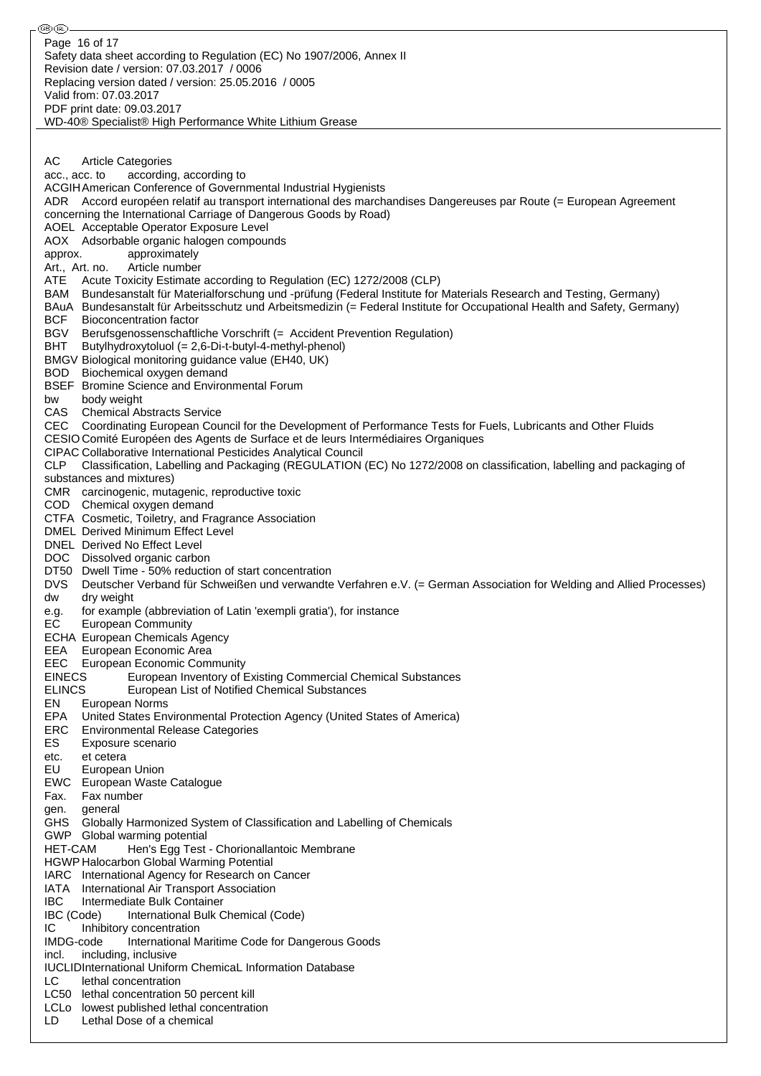⊛® Page 16 of 17Safety data sheet according to Regulation (EC) No 1907/2006, Annex II Revision date / version: 07.03.2017 / 0006 Replacing version dated / version: 25.05.2016 / 0005 Valid from: 07.03.2017 PDF print date: 09.03.2017 WD-40® Specialist® High Performance White Lithium Grease AC Article Categories acc., acc. to according, according to ACGIHAmerican Conference of Governmental Industrial Hygienists ADR Accord européen relatif au transport international des marchandises Dangereuses par Route (= European Agreement concerning the International Carriage of Dangerous Goods by Road) AOEL Acceptable Operator Exposure Level AOX Adsorbable organic halogen compounds approx. approximately Art., Art. no. Article number ATE Acute Toxicity Estimate according to Regulation (EC) 1272/2008 (CLP) BAM Bundesanstalt für Materialforschung und -prüfung (Federal Institute for Materials Research and Testing, Germany) BAuA Bundesanstalt für Arbeitsschutz und Arbeitsmedizin (= Federal Institute for Occupational Health and Safety, Germany) BCF Bioconcentration factor BGV Berufsgenossenschaftliche Vorschrift (= Accident Prevention Regulation) BHT Butylhydroxytoluol (= 2,6-Di-t-butyl-4-methyl-phenol) BMGV Biological monitoring guidance value (EH40, UK) BOD Biochemical oxygen demand BSEF Bromine Science and Environmental Forum bw body weight CAS Chemical Abstracts Service CEC Coordinating European Council for the Development of Performance Tests for Fuels, Lubricants and Other Fluids CESIO Comité Européen des Agents de Surface et de leurs Intermédiaires Organiques CIPAC Collaborative International Pesticides Analytical Council CLP Classification, Labelling and Packaging (REGULATION (EC) No 1272/2008 on classification, labelling and packaging of substances and mixtures) CMR carcinogenic, mutagenic, reproductive toxic COD Chemical oxygen demand CTFA Cosmetic, Toiletry, and Fragrance Association DMEL Derived Minimum Effect Level DNEL Derived No Effect Level DOC Dissolved organic carbon DT50 Dwell Time - 50% reduction of start concentration DVS Deutscher Verband für Schweißen und verwandte Verfahren e.V. (= German Association for Welding and Allied Processes) dw dry weight e.g. for example (abbreviation of Latin 'exempli gratia'), for instance EC European Community ECHA European Chemicals Agency EEA European Economic Area EEC European Economic Community EINECS European Inventory of Existing Commercial Chemical Substances ELINCS European List of Notified Chemical Substances EN European Norms EPA United States Environmental Protection Agency (United States of America) ERC Environmental Release Categories ES Exposure scenario etc. et cetera EU European Union EWC European Waste Catalogue Fax. Fax number gen. general GHS Globally Harmonized System of Classification and Labelling of Chemicals GWP Global warming potential HET-CAM Hen's Egg Test - Chorionallantoic Membrane HGWP Halocarbon Global Warming Potential IARC International Agency for Research on Cancer IATA International Air Transport Association IBC Intermediate Bulk Container IBC (Code) International Bulk Chemical (Code) IC Inhibitory concentration IMDG-code International Maritime Code for Dangerous Goods incl. including, inclusive IUCLIDInternational Uniform ChemicaL Information Database LC lethal concentration LC50 lethal concentration 50 percent kill LCLo lowest published lethal concentration LD Lethal Dose of a chemical